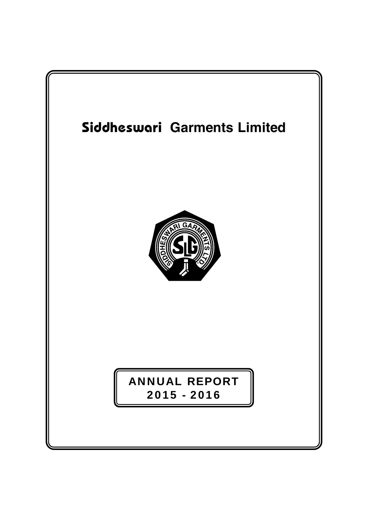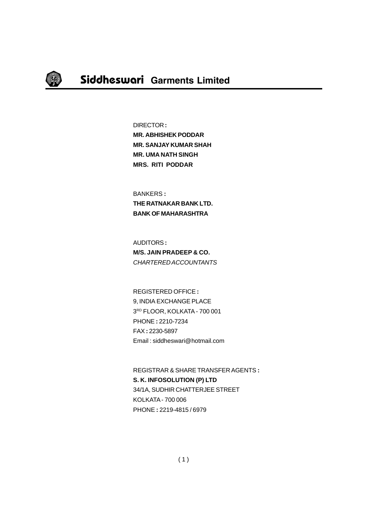

DIRECTOR **: MR. ABHISHEK PODDAR MR. SANJAY KUMAR SHAH MR. UMA NATH SINGH**

**MRS. RITI PODDAR**

BANKERS **: THE RATNAKAR BANK LTD. BANK OF MAHARASHTRA**

AUDITORS**: M/S. JAIN PRADEEP & CO.** *CHARTERED ACCOUNTANTS*

REGISTERED OFFICE **:** 9, INDIA EXCHANGE PLACE 3 RD FLOOR, KOLKATA - 700 001 PHONE **:** 2210-7234 FAX **:** 2230-5897 Email : siddheswari@hotmail.com

REGISTRAR & SHARE TRANSFER AGENTS **: S. K. INFOSOLUTION (P) LTD** 34/1A, SUDHIR CHATTERJEE STREET KOLKATA - 700 006 PHONE **:** 2219-4815 / 6979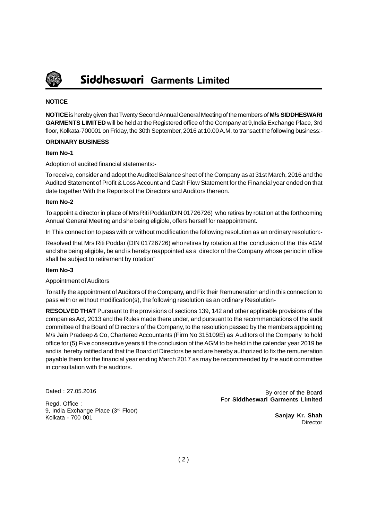

#### **NOTICE**

**NOTICE**is hereby given that Twenty Second Annual General Meeting of the members of **M/s SIDDHESWARI GARMENTS LIMITED** will be held at the Registered office of the Company at 9,India Exchange Place, 3rd floor, Kolkata-700001 on Friday, the 30th September, 2016 at 10.00 A.M. to transact the following business:-

#### **ORDINARY BUSINESS**

#### **Item No-1**

Adoption of audited financial statements:-

To receive, consider and adopt the Audited Balance sheet of the Company as at 31st March, 2016 and the Audited Statement of Profit & Loss Account and Cash Flow Statement for the Financial year ended on that date together With the Reports of the Directors and Auditors thereon.

#### **Item No-2**

To appoint a director in place of Mrs Riti Poddar(DIN 01726726) who retires by rotation at the forthcoming Annual General Meeting and she being eligible, offers herself for reappointment.

In This connection to pass with or without modification the following resolution as an ordinary resolution:-

Resolved that Mrs Riti Poddar (DIN 01726726) who retires by rotation at the conclusion of the this AGM and she being eligible, be and is hereby reappointed as a director of the Company whose period in office shall be subject to retirement by rotation"

#### **Item No-3**

Appointment of Auditors

To ratify the appointment of Auditors of the Company, and Fix their Remuneration and in this connection to pass with or without modification(s), the following resolution as an ordinary Resolution-

**RESOLVED THAT** Pursuant to the provisions of sections 139, 142 and other applicable provisions of the companies Act, 2013 and the Rules made there under, and pursuant to the recommendations of the audit committee of the Board of Directors of the Company, to the resolution passed by the members appointing M/s Jain Pradeep & Co, Chartered Accountants (Firm No 315109E) as Auditors of the Company to hold office for (5) Five consecutive years till the conclusion of the AGM to be held in the calendar year 2019 be and is hereby ratified and that the Board of Directors be and are hereby authorized to fix the remuneration payable them for the financial year ending March 2017 as may be recommended by the audit committee in consultation with the auditors.

Dated : 27.05.2016

Regd. Office : 9, India Exchange Place (3rd Floor) Kolkata - 700 001

By order of the Board For **Siddheswari Garments Limited**

> **Sanjay Kr. Shah Director**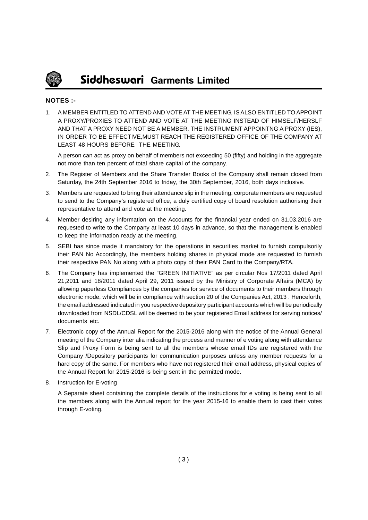

### **NOTES :-**

**SUPPERS AND STATES AT A MEMBER ENTITLED TO ATTEND AND VOTE AT THE MEETING, IS ALSO ENTITLED TO APPOINT<br>A PROXY/PROXIES TO ATTEND AND VOTE AT THE MEETING INSTEAD OF HIMSELF/HERSLF** AND THAT A PROXY NEED NOT BE A MEMBER. THE INSTRUMENT APPOINTNG A PROXY (IES), IN ORDER TO BE EFFECTIVE,MUST REACH THE REGISTERED OFFICE OF THE COMPANY AT LEAST 48 HOURS BEFORE THE MEETING.

A person can act as proxy on behalf of members not exceeding 50 (fifty) and holding in the aggregate not more than ten percent of total share capital of the company.

- 2. The Register of Members and the Share Transfer Books of the Company shall remain closed from Saturday, the 24th September 2016 to friday, the 30th September, 2016, both days inclusive.
- 3. Members are requested to bring their attendance slip in the meeting, corporate members are requested to send to the Company's registered office, a duly certified copy of board resolution authorising their representative to attend and vote at the meeting. 4. Members are requested to bring their attendance slip in the meeting, corporate members are requested<br>to send to the Company's registered office, a duly certified copy of board resolution authorising their<br>representative
- requested to write to the Company at least 10 days in advance, so that the management is enabled to keep the information ready at the meeting. 5. SEBI has since made it mandatory for the operations in securities market to furnish compulsorily<br>5. SEBI has since made it mandatory for the operations in securities market to furnish compulsorily<br>5. SEBI has since made
- their PAN No Accordingly, the members holding shares in physical mode are requested to furnish their respective PAN No along with a photo copy of their PAN Card to the Company/RTA. 6. SEBI has since made it mandatory for the operations in securities market to furnish compulsorily<br>their PAN No Accordingly, the members holding shares in physical mode are requested to furnish<br>their respective PAN No alo
- 21,2011 and 18/2011 dated April 29, 2011 issued by the Ministry of Corporate Affairs (MCA) by allowing paperless Compliances by the companies for service of documents to their members through electronic mode, which will be in compliance with section 20 of the Companies Act, 2013 . Henceforth, the email addressed indicated in you respective depository participant accounts which will be periodically downloaded from NSDL/CDSL will be deemed to be your registered Email address for serving notices/ documents etc.
- 7. Electronic copy of the Annual Report for the 2015-2016 along with the notice of the Annual General meeting of the Company inter alia indicating the process and manner of e voting along with attendance Slip and Proxy Form is being sent to all the members whose email IDs are registered with the Company /Depository participants for communication purposes unless any member requests for a hard copy of the same. For members who have not registered their email address, physical copies of the Annual Report for 2015-2016 is being sent in the permitted mode. Silp and Proxy Porm is being<br>
Company /Depository participal<br>
hard copy of the same. For mer<br>
the Annual Report for 2015-201<br>
8. Instruction for E-voting<br>
A Separate sheet containing th
- 

A Separate sheet containing the complete details of the instructions for e voting is being sent to all the members along with the Annual report for the year 2015-16 to enable them to cast their votes through E-voting.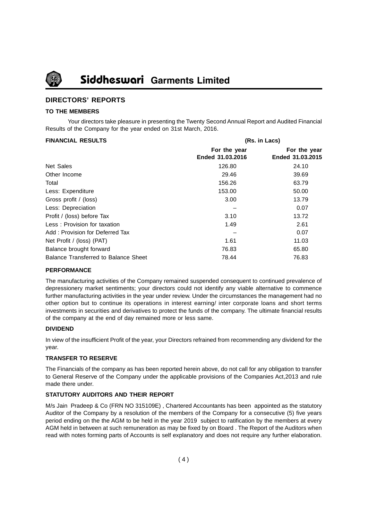### **DIRECTORS' REPORTS**

#### **TO THE MEMBERS**

| Your directors take pleasure in presenting the Twenty Second Annual Report and Audited Financial<br>Results of the Company for the year ended on 31st March, 2016. |                                  |                                  |  |  |  |
|--------------------------------------------------------------------------------------------------------------------------------------------------------------------|----------------------------------|----------------------------------|--|--|--|
| <b>FINANCIAL RESULTS</b>                                                                                                                                           | (Rs. in Lacs)                    |                                  |  |  |  |
|                                                                                                                                                                    | For the year<br>Ended 31.03.2016 | For the year<br>Ended 31.03.2015 |  |  |  |
| Net Sales                                                                                                                                                          | 126.80                           | 24.10                            |  |  |  |
| Other Income                                                                                                                                                       | 29.46                            | 39.69                            |  |  |  |
| Total                                                                                                                                                              | 156.26                           | 63.79                            |  |  |  |
| Less: Expenditure                                                                                                                                                  | 153.00                           | 50.00                            |  |  |  |
| Gross profit / (loss)                                                                                                                                              | 3.00                             | 13.79                            |  |  |  |
| Less: Depreciation                                                                                                                                                 |                                  | 0.07                             |  |  |  |
| Profit / (loss) before Tax                                                                                                                                         | 3.10                             | 13.72                            |  |  |  |
| Less: Provision for taxation                                                                                                                                       | 1.49                             | 2.61                             |  |  |  |
| Add: Provision for Deferred Tax                                                                                                                                    |                                  | 0.07                             |  |  |  |
| Net Profit / (loss) (PAT)                                                                                                                                          | 1.61                             | 11.03                            |  |  |  |
| Balance brought forward                                                                                                                                            | 76.83                            | 65.80                            |  |  |  |
| <b>Balance Transferred to Balance Sheet</b>                                                                                                                        | 78.44                            | 76.83                            |  |  |  |

#### **PERFORMANCE**

The manufacturing activities of the Company remained suspended consequent to continued prevalence of depressionery market sentiments; your directors could not identify any viable alternative to commence further manufacturing activities in the year under review. Under the circumstances the management had no other option but to continue its operations in interest earning/ inter corporate loans and short terms investments in securities and derivatives to protect the funds of the company. The ultimate financial results of the company at the end of day remained more or less same.

### **DIVIDEND**

In view of the insufficient Profit of the year, your Directors refrained from recommending any dividend for the year.

### **TRANSFER TO RESERVE**

The Financials of the company as has been reported herein above, do not call for any obligation to transfer to General Reserve of the Company under the applicable provisions of the Companies Act,2013 and rule made there under.

### **STATUTORY AUDITORS AND THEIR REPORT**

M/s Jain Pradeep & Co (FRN NO 315109E) , Chartered Accountants has been appointed as the statutory Auditor of the Company by a resolution of the members of the Company for a consecutive (5) five years period ending on the the AGM to be held in the year 2019 subject to ratification by the members at every AGM held in between at such remuneration as may be fixed by on Board . The Report of the Auditors when read with notes forming parts of Accounts is self explanatory and does not require any further elaboration.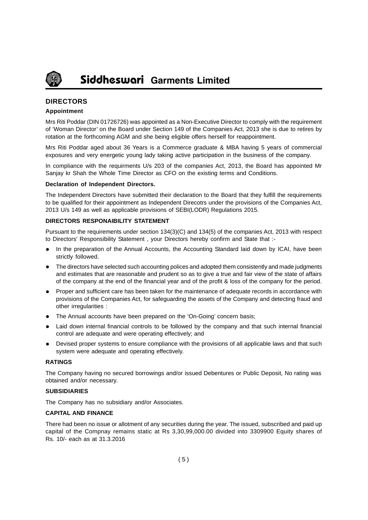

### **DIRECTORS**

#### **Appointment**

Mrs Riti Poddar (DIN 01726726) was appointed as a Non-Executive Director to comply with the requirement of 'Woman Director' on the Board under Section 149 of the Companies Act, 2013 she is due to retires by rotation at the forthcoming AGM and she being eligible offers herself for reappointment.

Mrs Riti Poddar aged about 36 Years is a Commerce graduate & MBA having 5 years of commercial exposures and very energetic young lady taking active participation in the business of the company.

In compliance with the requirments U/s 203 of the companies Act, 2013, the Board has appointed Mr Sanjay kr Shah the Whole Time Director as CFO on the existing terms and Conditions.

#### **Declaration of Independent Directors.**

The Independent Directors have submitted their declaration to the Board that they fulfill the requirements to be qualified for their appointment as Independent Direcotrs under the provisions of the Companies Act, 2013 U/s 149 as well as applicable provisions of SEBI(LODR) Regulations 2015.

#### **DIRECTORS RESPONAIBILITY STATEMENT**

Pursuant to the requirements under section 134(3)(C) and 134(5) of the companies Act, 2013 with respect to Directors' Responsibility Statement, your Directors hereby confirm and State that :-

- In the preparation of the Annual Accounts, the Accounting Standard laid down by ICAI, have been strictly followed.
- The directors have selected such accounting polices and adopted them consistently and made judgments and estimates that are reasonable and prudent so as to give a true and fair view of the state of affairs of the company at the end of the financial year and of the profit & loss of the company for the period.
- Proper and sufficient care has been taken for the maintenance of adequate records in accordance with provisions of the Companies Act, for safeguarding the assets of the Company and detecting fraud and other irregularities :
- The Annual accounts have been prepared on the 'On-Going' concern basis;
- Laid down internal financial controls to be followed by the company and that such internal financial control are adequate and were operating effectively; and
- Devised proper systems to ensure compliance with the provisions of all applicable laws and that such system were adequate and operating effectively.

#### **RATINGS**

The Company having no secured borrowings and/or issued Debentures or Public Deposit, No rating was obtained and/or necessary.

#### **SUBSIDIARIES**

The Company has no subsidiary and/or Associates.

#### **CAPITAL AND FINANCE**

There had been no issue or allotment of any securities during the year. The issued, subscribed and paid up capital of the Compnay remains static at Rs 3,30,99,000.00 divided into 3309900 Equity shares of Rs. 10/- each as at 31.3.2016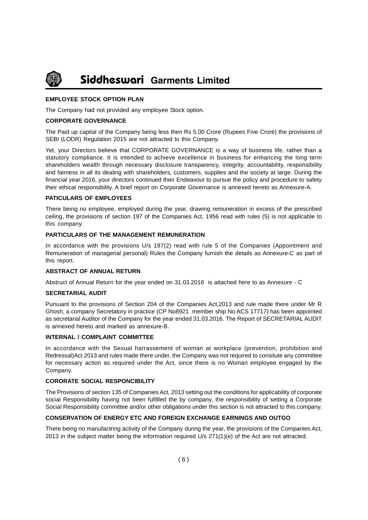

#### **EMPLOYEE STOCK OPTION PLAN**

The Company had not provided any employee Stock option.

#### **CORPORATE GOVERNANCE**

The Paid up capital of the Company being less then Rs 5.00 Crore (Rupees Five Crore) the provisions of SEBI (LODR) Regulation 2015 are not attracted to this Company.

Yet, your Directors believe that CORPORATE GOVERNANCE is a way of business life, rather than a statutory compliance. It is intended to achieve excellence in business for enhancing the long term shareholders wealth through necessary disclosure transparency, integrity, accountability, responsibility and fairness in all its dealing with shareholders, customers, supplies and the society at large. During the financial year 2016, your directors continued their Endeavour to pursue the policy and procedure to safety their ethical responsibility. A brief report on Corporate Governance is annexed hereto as Annexure-A.

#### **PATICULARS OF EMPLOYEES**

There being no employee, employed during the year, drawing remuneration in excess of the prescribed ceiling, the provisions of section 197 of the Companies Act, 1956 read with rules (5) is not applicable to this company.

#### **PARTICULARS OF THE MANAGEMENT REMUNERATION**

In accordance with the provisions U/s 197(2) read with rule 5 of the Companies (Appointment and Remuneration of managerial personal) Rules the Company furnish the details as Annexure-C as part of this report.

#### **ABSTRACT OF ANNUAL RETURN**

Abstruct of Annual Return for the year ended on 31.03.2016 is attached here to as Annexure - C

#### **SECRETARIAL AUDIT**

Pursuant to the provisions of Section 204 of the Companies Act,2013 and rule made there under Mr R Ghosh, a company Secretatory in practice (CP No8921 member ship No ACS 17717) has been appointed as secretarial Auditor of the Company for the year ended 31.03.2016. The Report of SECRETARIAL AUDIT is annexed hereto and marked as annexure-B.

#### **INTERNAL / COMPLAINT COMMITTEE**

In accordance with the Sexual harrassement of woman at workplace (prevention, prohibition and Redressal)Act 2013 and rules made there under, the Company was not required to consitute any committee for necessary action as required under the Act, since there is no Woman employee engaged by the Company.

#### **CORORATE SOCIAL RESPONCIBILITY**

The Provisions of section 135 of Companies Act, 2013 setting out the conditions for applicability of corporate social Responsibility having not been fulfilled the by company, the responsibility of setting a Corporate Social Responsibility committee and/or other obligations under this section is not attracted to this company.

#### **CONSERVATION OF ENERGY ETC AND FOREIGN EXCHANGE EARNINGS AND OUTGO**

There being no manufactring activity of the Company during the year, the provisions of the Companies Act, 2013 in the subject matter being the information required U/s 271(1)(e) of the Act are not attracted.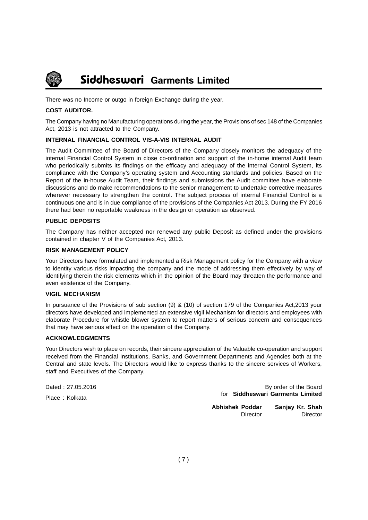

There was no Income or outgo in foreign Exchange during the year.

#### **COST AUDITOR.**

The Company having no Manufacturing operations during the year, the Provisions of sec 148 of the Companies Act, 2013 is not attracted to the Company.

#### **INTERNAL FINANCIAL CONTROL VIS-A-VIS INTERNAL AUDIT**

The Audit Committee of the Board of Directors of the Company closely monitors the adequacy of the internal Financial Control System in close co-ordination and support of the in-home internal Audit team who periodically submits its findings on the efficacy and adequacy of the internal Control System, its compliance with the Company's operating system and Accounting standards and policies. Based on the Report of the in-house Audit Team, their findings and submissions the Audit committee have elaborate discussions and do make recommendations to the senior management to undertake corrective measures wherever necessary to strengthen the control. The subject process of internal Financial Control is a continuous one and is in due compliance of the provisions of the Companies Act 2013. During the FY 2016 there had been no reportable weakness in the design or operation as observed.

#### **PUBLIC DEPOSITS**

The Company has neither accepted nor renewed any public Deposit as defined under the provisions contained in chapter V of the Companies Act, 2013.

#### **RISK MANAGEMENT POLICY**

Your Directors have formulated and implemented a Risk Management policy for the Company with a view to identity various risks impacting the company and the mode of addressing them effectively by way of identifying therein the risk elements which in the opinion of the Board may threaten the performance and even existence of the Company.

#### **VIGIL MECHANISM**

In pursuance of the Provisions of sub section (9) & (10) of section 179 of the Companies Act,2013 your directors have developed and implemented an extensive vigil Mechanism for directors and employees with elaborate Procedure for whistle blower system to report matters of serious concern and consequences that may have serious effect on the operation of the Company.

#### **ACKNOWLEDGMENTS**

Your Directors wish to place on records, their sincere appreciation of the Valuable co-operation and support received from the Financial Institutions, Banks, and Government Departments and Agencies both at the Central and state levels. The Directors would like to express thanks to the sincere services of Workers, staff and Executives of the Company.

Dated : 27.05.2016 Place : Kolkata

By order of the Board for **Siddheswari Garments Limited**

**Sanjay Kr. Shah Director Abhishek Poddar** Director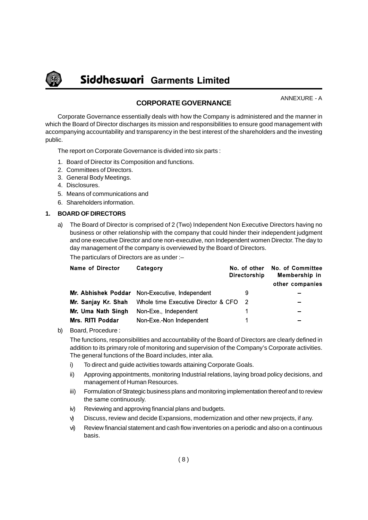

### **CORPORATE GOVERNANCE**

ANNEXURE - A

Corporate Governance essentially deals with how the Company is administered and the manner in which the Board of Director discharges its mission and responsibilities to ensure good management with accompanying accountability and transparency in the best interest of the shareholders and the investing public. 1. Board of Director disentaty and final respectively<br>impanying accountability and transparency in the best in<br>ic.<br>The report on Corporate Governance is divided into six p<br>1. Board of Director its Composition and functions Example is a constraining accountability and that<br>2. Committees of Directors.<br>2. Committees of Directors.<br>3. General Body Meetings.

The report on Corporate Governance is divided into six parts : 3. The report on Corporate Govern<br>1. Board of Director its Compos<br>2. Committees of Directors.<br>3. General Body Meetings.<br>4. Disclosures.

- 1. Board of Director its Composition and functions.
- 
- 
- 
- 2. Committees of Directors.<br>
3. General Body Meetings.<br>
4. Disclosures.<br>
5. Means of communication.<br>
6. Shareholders information. 5. Means of communications and
- 

#### **1. BOARD OF DIRECTORS**

5. Means of communications and<br>
6. Shareholders information.<br> **BOARD OF DIRECTORS**<br>
a) The Board of Director is comprised of 2 (Two) Independent Non Executive Directors having no<br>
business or other relationship with the co and one executive Director and one non-executive, non Independent women Director. The day to day management of the company is overviewed by the Board of Directors.

The particulars of Directors are as under :–

|    | Name of Director    | Category                                                                                            | No. of other<br>Directorship | No. of Committee<br>Membership in |
|----|---------------------|-----------------------------------------------------------------------------------------------------|------------------------------|-----------------------------------|
|    |                     |                                                                                                     |                              | other companies                   |
|    | Mr. Abhishek Poddar | Non-Executive, Independent                                                                          | 9                            |                                   |
|    | Mr. Sanjay Kr. Shah | Whole time Executive Director & CFO                                                                 | -2                           | -                                 |
|    | Mr. Uma Nath Singh  | Non-Exe, Independent                                                                                |                              | $\overline{\phantom{a}}$          |
|    | Mrs. RITI Poddar    | Non-Exe-Non Independent                                                                             |                              |                                   |
| b) | Board, Procedure:   |                                                                                                     |                              |                                   |
|    |                     | The functions, responsibilities and accountability of the Board of Directors are clearly defined in |                              |                                   |

addition to its primary role of monitoring and supervision of the Company's Corporate activities. The general functions of the Board includes, inter alia. Board, Procedure :<br>The functions, responsibilities and accountability of the Board of Directors<br>addition to its primary role of monitoring and supervision of the Company's<br>The general functions of the Board includes, inter The functions, responsibilities and accountability of the Board of Directors are clearly defined in<br>addition to its primary role of monitoring and supervision of the Company's Corporate activities.<br>The general functions of

- 
- management of Human Resources.
- iii) Formulation of Strategic business plans and monitoring implementation thereof and to review the same continuously. ii) Approving appointments, monitoring Industrial relations, la<br>
management of Human Resources.<br>
iii) Formulation of Strategic business plans and monitoring implement and budgets.<br>
iv) Reviewing and approving financial pla via Discuss, review and Resources.<br>
via Discuss, reviewing and approving financial plans and budgets.<br>
via Discuss, review and decide Expansions, modernization and other new projects, if any.<br>
via Discuss, review and decid
- 
- 
- Formulation of Strategic business plans and monitoring implementation thereor and to review<br>the same continuously.<br>iv) Reviewing and approving financial plans and budgets.<br>y) Discuss, review and decide Expansions, moderniz basis.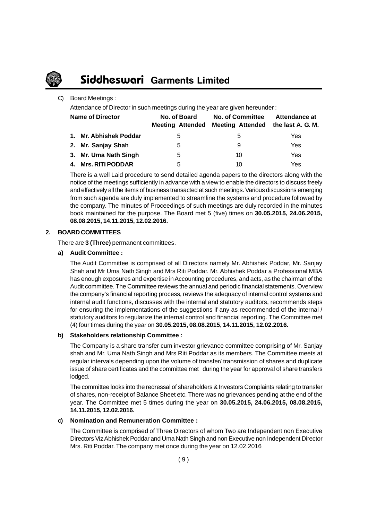

| <b>Name of Director</b> | No. of Board | <b>No. of Committee</b><br>Meeting Attended Meeting Attended the last A. G. M. | Attendance at |  |
|-------------------------|--------------|--------------------------------------------------------------------------------|---------------|--|
| 1. Mr. Abhishek Poddar  | 5            | 5                                                                              | Yes.          |  |
| 2. Mr. Sanjay Shah      | 5            | 9                                                                              | <b>Yes</b>    |  |
| 3. Mr. Uma Nath Singh   | 5            | 10                                                                             | <b>Yes</b>    |  |
| 4. Mrs. RITI PODDAR     | 5            | 10                                                                             | Yes           |  |

notice of the meetings sufficiently in advance with a view to enable the directors to discuss freely and effectively all the items of business transacted at such meetings. Various discussions emerging from such agenda are duly implemented to streamline the systems and procedure followed by the company. The minutes of Proceedings of such meetings are duly recorded in the minutes book maintained for the purpose. The Board met 5 (five) times on **30.05.2015, 24.06.2015, 08.08.2015, 14.11.2015, 12.02.2016.**

#### **2. BOARD COMMITTEES**

There are **3 (Three)** permanent committees.

#### **a) Audit Committee :**

The Audit Committee is comprised of all Directors namely Mr. Abhishek Poddar, Mr. Sanjay Shah and Mr Uma Nath Singh and Mrs Riti Poddar. Mr. Abhishek Poddar a Professional MBA has enough exposures and expertise in Accounting procedures, and acts, as the chairman of the Audit committee. The Committee reviews the annual and periodic financial statements. Overview the company's financial reporting process, reviews the adequacy of internal control systems and internal audit functions, discusses with the internal and statutory auditors, recommends steps for ensuring the implementations of the suggestions if any as recommended of the internal / statutory auditors to regularize the internal control and financial reporting. The Committee met (4) four times during the year on **30.05.2015, 08.08.2015, 14.11.2015, 12.02.2016.** internal audit functions, discusses with the inter<br>for ensuring the implementations of the sugges<br>statutory auditors to regularize the internal cont<br>(4) four times during the year on **30.05.2015, 08.**<br>**b)** Stakeholders rel

The Company is a share transfer cum investor grievance committee comprising of Mr. Sanjay shah and Mr. Uma Nath Singh and Mrs Riti Poddar as its members. The Committee meets at regular intervals depending upon the volume of transfer/ transmission of shares and duplicate issue of share certificates and the committee met during the year for approval of share transfers lodged.

The committee looks into the redressal of shareholders & Investors Complaints relating to transfer of shares, non-receipt of Balance Sheet etc. There was no grievances pending at the end of the year. The Committee met 5 times during the year on **30.05.2015, 24.06.2015, 08.08.2015, 14.11.2015, 12.02.2016.**

#### **c) Nomination and Remuneration Committee :**

The Committee is comprised of Three Directors of whom Two are Independent non Executive Directors Viz Abhishek Poddar and Uma Nath Singh and non Executive non Independent Director Mrs. Riti Poddar. The company met once during the year on 12.02.2016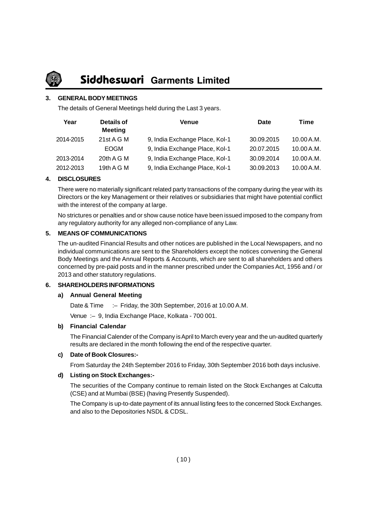

### **3. GENERAL BODY MEETINGS**

|                    | The details of General Meetings held during the Last 3 years. |                                |            |            |  |  |  |  |  |  |
|--------------------|---------------------------------------------------------------|--------------------------------|------------|------------|--|--|--|--|--|--|
| Year               | Details of<br><b>Meeting</b>                                  | Venue                          | Date       | Time       |  |  |  |  |  |  |
| 2014-2015          | 21st A G M                                                    | 9, India Exchange Place, Kol-1 | 30.09.2015 | 10.00 A.M. |  |  |  |  |  |  |
|                    | EOGM                                                          | 9, India Exchange Place, Kol-1 | 20.07.2015 | 10.00 A.M. |  |  |  |  |  |  |
| 2013-2014          | 20th A G M                                                    | 9, India Exchange Place, Kol-1 | 30.09.2014 | 10.00 A.M. |  |  |  |  |  |  |
| 2012-2013          | 19th A G M                                                    | 9, India Exchange Place, Kol-1 | 30.09.2013 | 10.00 A.M. |  |  |  |  |  |  |
| <b>DISCLOSURES</b> |                                                               |                                |            |            |  |  |  |  |  |  |

### **4. DISCLOSURES**

There were no materially significant related party transactions of the company during the year with its Directors or the key Management or their relatives or subsidiaries that might have potential conflict with the interest of the company at large.

No strictures or penalties and or show cause notice have been issued imposed to the company from any regulatory authority for any alleged non-compliance of any Law.

### **5. MEANS OF COMMUNICATIONS**

The un-audited Financial Results and other notices are published in the Local Newspapers, and no individual communications are sent to the Shareholders except the notices convening the General Body Meetings and the Annual Reports & Accounts, which are sent to all shareholders and others concerned by pre-paid posts and in the manner prescribed under the Companies Act, 1956 and / or 2013 and other statutory regulations. Band other statutory regulations.<br>
REHOLDERS INFORMATIONS<br>
Annual General Meeting<br>
Date & Time :– Friday, the 30th September, 2016 at 10.00 A.M.<br>
Venue :– 9, India Exchange Place, Kolkata - 700 001.

### **6. SHAREHOLDERS INFORMATIONS**

### **a) Annual General Meeting**

Date & Time :- Friday, the 30th September, 2016 at 10.00 A.M.<br>Venue :- 9, India Exchange Place, Kolkata - 700 001.

### **b) Financial Calendar**

The Financial Calender of the Company is April to March every year and the un-audited quarterly results are declared in the month following the end of the respective quarter.

### **c) Date of Book Closures:-**

From Saturday the 24th September 2016 to Friday, 30th September 2016 both days inclusive.

### **d) Listing on Stock Exchanges:-**

The securities of the Company continue to remain listed on the Stock Exchanges at Calcutta (CSE) and at Mumbai (BSE) (having Presently Suspended).

The Company is up-to-date payment of its annual listing fees to the concerned Stock Exchanges. and also to the Depositories NSDL & CDSL.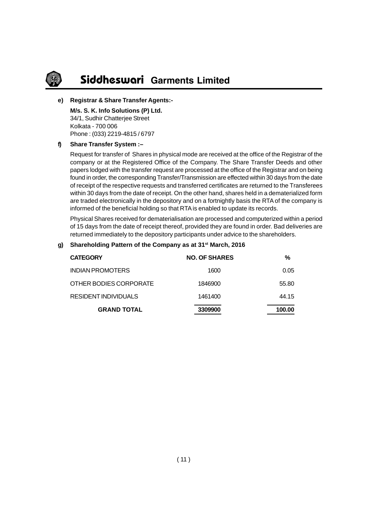

### **e) Registrar & Share Transfer Agents:-**

**M/s. S. K. Info Solutions (P) Ltd.** 34/1, Sudhir Chatterjee Street Kolkata - 700 006 Phone : (033) 2219-4815 / 6797

#### **f) Share Transfer System :–**

Request for transfer of Shares in physical mode are received at the office of the Registrar of the company or at the Registered Office of the Company. The Share Transfer Deeds and other papers lodged with the transfer request are processed at the office of the Registrar and on being found in order, the corresponding Transfer/Transmission are effected within 30 days from the date of receipt of the respective requests and transferred certificates are returned to the Transferees within 30 days from the date of receipt. On the other hand, shares held in a dematerialized form are traded electronically in the depository and on a fortnightly basis the RTA of the company is informed of the beneficial holding so that RTA is enabled to update its records.

Physical Shares received for dematerialisation are processed and computerized within a period of 15 days from the date of receipt thereof, provided they are found in order. Bad deliveries are returned immediately to the depository participants under advice to the shareholders.

### **g) Shareholding Pattern of the Company as at 31st March, 2016**

| <b>CATEGORY</b>         | <b>NO. OF SHARES</b> | %      |
|-------------------------|----------------------|--------|
| <b>INDIAN PROMOTERS</b> | 1600                 | 0.05   |
| OTHER BODIES CORPORATE  | 1846900              | 55.80  |
| RESIDENT INDIVIDUALS    | 1461400              | 44.15  |
| <b>GRAND TOTAL</b>      | 3309900              | 100.00 |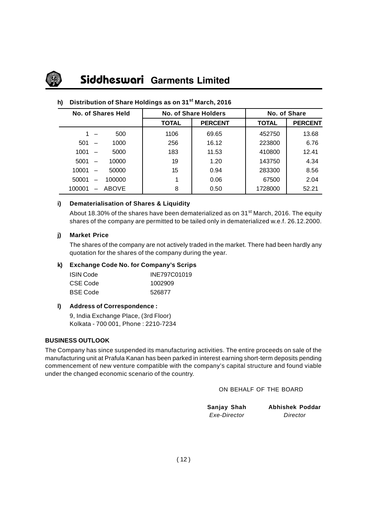

|                                    |              | Distribution of Share Holdings as on 31 <sup>st</sup> March, 2016 |                             |              |                |
|------------------------------------|--------------|-------------------------------------------------------------------|-----------------------------|--------------|----------------|
| No. of Shares Held                 |              |                                                                   | <b>No. of Share Holders</b> |              | No. of Share   |
|                                    |              | <b>TOTAL</b>                                                      | <b>PERCENT</b>              | <b>TOTAL</b> | <b>PERCENT</b> |
|                                    | 500          | 1106                                                              | 69.65                       | 452750       | 13.68          |
| 501                                | 1000         | 256                                                               | 16.12                       | 223800       | 6.76           |
| 1001                               | 5000         | 183                                                               | 11.53                       | 410800       | 12.41          |
| 5001<br>$\overline{\phantom{0}}$   | 10000        | 19                                                                | 1.20                        | 143750       | 4.34           |
| 10001                              | 50000        | 15                                                                | 0.94                        | 283300       | 8.56           |
| 50001                              | 100000       | 1                                                                 | 0.06                        | 67500        | 2.04           |
| 100001<br>$\overline{\phantom{0}}$ | <b>ABOVE</b> | 8                                                                 | 0.50                        | 1728000      | 52.21          |

#### **i) Dematerialisation of Shares & Liquidity**

About 18.30% of the shares have been dematerialized as on 31<sup>st</sup> March, 2016. The equity shares of the company are permitted to be tailed only in dematerialized w.e.f. 26.12.2000.

#### **j) Market Price**

The shares of the company are not actively traded in the market. There had been hardly any quotation for the shares of the company during the year.

#### **k) Exchange Code No. for Company's Scrips**

| ISIN Code       | INE797C01019 |
|-----------------|--------------|
| CSE Code        | 1002909      |
| <b>BSE Code</b> | 526877       |

#### **l) Address of Correspondence :**

9, India Exchange Place, (3rd Floor) Kolkata - 700 001, Phone : 2210-7234

### **BUSINESS OUTLOOK**

The Company has since suspended its manufacturing activities. The entire proceeds on sale of the manufacturing unit at Prafula Kanan has been parked in interest earning short-term deposits pending commencement of new venture compatible with the company's capital structure and found viable under the changed economic scenario of the country.

ON BEHALF OF THE BOARD

| Sanjay Shah  | Abhishek Poddar |
|--------------|-----------------|
| Exe-Director | Director        |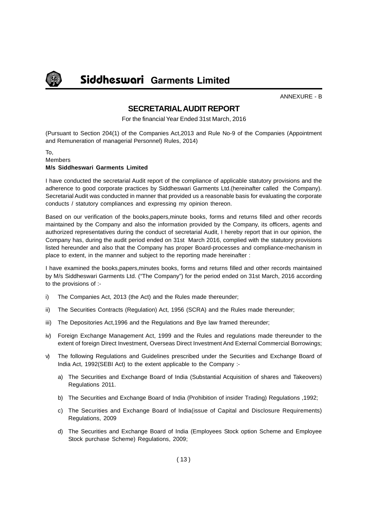

ANNEXURE - B

### **SECRETARIALAUDIT REPORT**

For the financial Year Ended 31st March, 2016

(Pursuant to Section 204(1) of the Companies Act,2013 and Rule No-9 of the Companies (Appointment and Remuneration of managerial Personnel) Rules, 2014)

To,

#### Members

#### **M/s Siddheswari Garments Limited**

I have conducted the secretarial Audit report of the compliance of applicable statutory provisions and the adherence to good corporate practices by Siddheswari Garments Ltd.(hereinafter called the Company). Secretarial Audit was conducted in manner that provided us a reasonable basis for evaluating the corporate conducts / statutory compliances and expressing my opinion thereon.

Based on our verification of the books,papers,minute books, forms and returns filled and other records maintained by the Company and also the information provided by the Company, its officers, agents and authorized representatives during the conduct of secretarial Audit, I hereby report that in our opinion, the Company has, during the audit period ended on 31st March 2016, complied with the statutory provisions listed hereunder and also that the Company has proper Board-processes and compliance-mechanism in place to extent, in the manner and subject to the reporting made hereinafter :

I have examined the books,papers,minutes books, forms and returns filled and other records maintained by M/s Siddheswari Garments Ltd. ("The Company") for the period ended on 31st March, 2016 according to the provisions of :- I have examined the books,papers,minutes books, forms and returns filled an<br>by M/s Siddheswari Garments Ltd. ("The Company") for the period ended on 3<br>to the provisions of :-<br>i) The Companies Act, 2013 (the Act) and the Ru by M/s Siddheswari Garments Ltd. ("The Company") for the period ended on 31st March, 2016 acc<br>to the provisions of :-<br>i) The Companies Act, 2013 (the Act) and the Rules made thereunder;<br>iii) The Securities Contracts (Regul

- 
- 
- i) The Companies Act, 2013 (the Act) and the Rules made thereunder;<br>ii) The Securities Contracts (Regulation) Act, 1956 (SCRA) and the Rules made thereun<br>iii) The Depositories Act, 1996 and the Regulations and Bye law fram
- ii) The Securities Contracts (Regulation) Act, 1956 (SCRA) and the Rules made thereunder;<br>iii) The Depositories Act, 1996 and the Regulations and Bye law framed thereunder;<br>iv) Foreign Exchange Management Act, 1999 and the extent of foreign Direct Investment, Overseas Direct Investment And External Commercial Borrowings;
- iii) The Depositories Act, 1996 and the Regulations and Bye law framed thereunder;<br>iv) Foreign Exchange Management Act, 1999 and the Rules and regulations made thereunder to the<br>extent of foreign Direct Investment, Oversea India Act, 1992(SEBI Act) to the extent applicable to the Company :- The following Regulations and Guidelines prescribed under the Securities and Exchange Board of India Act, 1992(SEBI Act) to the extent applicable to the Company :-<br>a) The Securities and Exchange Board of India (Substantial
	- Regulations 2011. India Act, 1992(SEBI Act) to the extent applicable to the Company :-<br>
	a) The Securities and Exchange Board of India (Substantial Acquisition of shares and Takeovers)<br>
	Regulations 2011.<br>
	b) The Securities and Exchange Board
	-
	- a) The Securities and Exchange Board of India (Substantial Acquisition of shares and Takeovers)<br>Regulations 2011.<br>b) The Securities and Exchange Board of India (Prohibition of insider Trading) Regulations , 1992;<br>c) The Se Regulations, 2009 c) The Securities and Exchange Board of India (issue of Capital and Disclosure Requirements)<br>Regulations, 2009<br>d) The Securities and Exchange Board of India (Employees Stock option Scheme and Employee
	- Stock purchase Scheme) Regulations, 2009;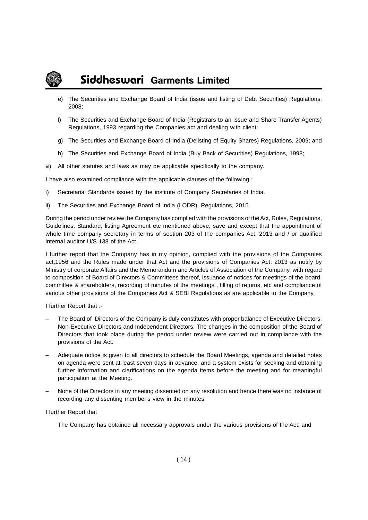- e) The Securities and Exchange Board of India (issue and listing of Debt Securities) Regulations, 2008;
- Fig. 2008;<br>
f) The Securities and Exchange Board of India (issue and listing of Debt Securities) Regulations,<br>
f) The Securities and Exchange Board of India (Registrars to an issue and Share Transfer Agents)<br>
Regulations, Regulations, 1993 regarding the Companies act and dealing with client; 2008;<br>f) The Securities and Exchange Board of India (Registrars to an issue and Share Transfer Agents)<br>Regulations, 1993 regarding the Companies act and dealing with client;<br>g) The Securities and Exchange Board of India (D
- g) The Securities and Exchange Board of India (Delisting of Equity Shares) Regulations, 2009; and<br>h) The Securities and Exchange Board of India (Buy Back of Securities) Regulations, 1998;
- 
- vi) All other statutes and laws as may be applicable specifically to the company. i) All other statutes and laws as may be applicable specifically to the company.<br>I have also examined compliance with the applicable clauses of the following :<br>i) Secretarial Standards issued by the institute of Company Se

I have also examined compliance with the applicable clauses of the following :

- I have also examined compliance with the applicable clauses of the following :<br>i) Secretarial Standards issued by the institute of Company Secretaries of India<br>ii) The Securities and Exchange Board of India (LODR), Regulat
- 

During the period under review the Company has complied with the provisions of the Act, Rules, Regulations, Guidelines, Standard, listing Agreement etc mentioned above, save and except that the appointment of whole time company secretary in terms of section 203 of the companies Act, 2013 and / or qualified internal auditor U/S 138 of the Act.

I further report that the Company has in my opinion, complied with the provisions of the Companies act,1956 and the Rules made under that Act and the provisions of Companies Act, 2013 as notify by Ministry of corporate Affairs and the Memorandum and Articles of Association of the Company, with regard to composition of Board of Directors & Committees thereof, issuance of notices for meetings of the board, committee & shareholders, recording of minutes of the meetings , filling of returns, etc and compliance of various other provisions of the Companies Act & SEBI Regulations as are applicable to the Company.

I further Report that :-

- Fraction of the Companies Act & SEBI Regulations as are applicable to the Company.<br>
1 further Report that :-<br>
1 further Report that :-<br>
1 Further Report that :-<br>
1 Further Report that :-<br>
1 The Board of Directors of the Co Non-Executive Directors and Independent Directors. The changes in the composition of the Board of Directors that took place during the period under review were carried out in compliance with the provisions of the Act. Mon-Executive Directors and Independent Directors. The changes in the composition of the Board of<br>Directors that took place during the period under review were carried out in compliance with the<br>provisions of the Act.<br>Adeq
- Frace and were sent at least seven days in advance, and a system exists for seeking and obtaining<br>further information and clarifications on the agenda items before the meeting and for meaningful<br>participation at the Meetin further information and clarifications on the agenda items before the meeting and for meaningful participation at the Meeting.
- recording any dissenting member's view in the minutes.

I further Report that

The Company has obtained all necessary approvals under the various provisions of the Act, and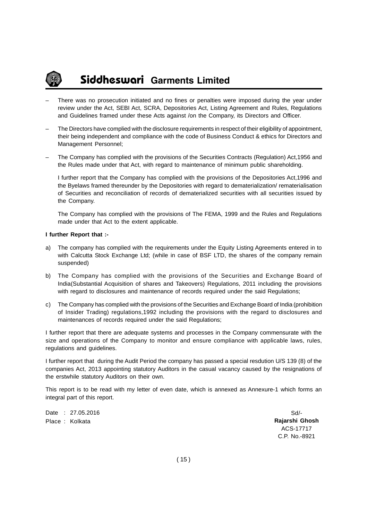

- Siddheswari Garments Limited<br>
 There was no prosecution initiated and no fines or penalties were imposed during the year under<br>
review under the Act, SEBI Act, SCRA, Depositories Act, Listing Agreement and Rules, Regulati and Guidelines framed under these Acts against /on the Company, its Directors and Officer. – There was no prosecution initiated and no fines or penalties were imposed during the year under<br>review under the Act, SEBI Act, SCRA, Depositories Act, Listing Agreement and Rules, Regulations<br>and Guidelines framed under
- their being independent and compliance with the code of Business Conduct & ethics for Directors and Management Personnel; The Directors have complied with the disclosure requirements in respect of their eligibility of appointment, their being independent and compliance with the code of Business Conduct & ethics for Directors and Management Pe
- the Rules made under that Act, with regard to maintenance of minimum public shareholding.

I further report that the Company has complied with the provisions of the Depositories Act,1996 and the Byelaws framed thereunder by the Depositories with regard to dematerialization/ rematerialisation of Securities and reconciliation of records of dematerialized securities with all securities issued by the Company.

The Company has complied with the provisions of The FEMA, 1999 and the Rules and Regulations made under that Act to the extent applicable.

#### **I further Report that :-**

- Ine Company has complied with the provisions of The FEMA, 1999 and the Rules and Regulations<br>made under that Act to the extent applicable.<br>**I further Report that :-**<br>a) The company has complied with the requirements under suspended) a) The company has complied with the requirements under the Equity Listing Agreements entered in to with Calcutta Stock Exchange Ltd; (while in case of BSF LTD, the shares of the company remain suspended)<br>b) The Company ha
- India(Substantial Acquisition of shares and Takeovers) Regulations, 2011 including the provisions with regard to disclosures and maintenance of records required under the said Regulations; b) The Company has complied with the provisions of the Securities and Exchange Board of India(Substantial Acquisition of shares and Takeovers) Regulations, 2011 including the provisions with regard to disclosures and maint
- of Insider Trading) regulations,1992 including the provisions with the regard to disclosures and maintenances of records required under the said Regulations;

I further report that there are adequate systems and processes in the Company commensurate with the size and operations of the Company to monitor and ensure compliance with applicable laws, rules, regulations and guidelines.

I further report that during the Audit Period the company has passed a special resdution U/S 139 (8) of the companies Act, 2013 appointing statutory Auditors in the casual vacancy caused by the resignations of the erstwhile statutory Auditors on their own.

This report is to be read with my letter of even date, which is annexed as Annexure-1 which forms an integral part of this report. This report is to be read with<br>integral part of this report.<br>Date : 27.05.2016<br>Place : Kolkata This report is to be read<br>
integral part of this report.<br>
Date : 27.05.2016<br>
Place : Kolkata

Sd/- **Rajarshi Ghosh** ACS-17717 C.P. No.-8921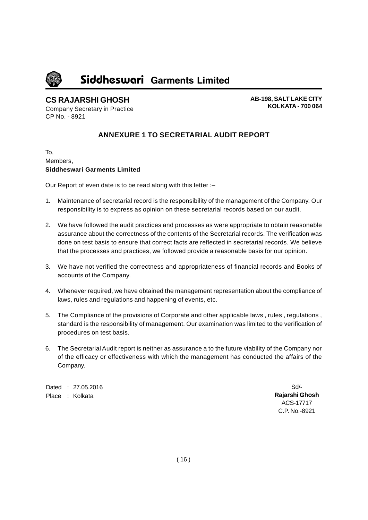

### **CS RAJARSHI GHOSH**

Company Secretary in Practice CP No. - 8921

**AB-198, SALT LAKE CITY KOLKATA - 700 064**

### **ANNEXURE 1 TO SECRETARIAL AUDIT REPORT**

To, Members, **Siddheswari Garments Limited**

Our Report of even date is to be read along with this letter :–

- 1. Maintenance of secretarial record is the responsibility of the management of the Company. Our<br>1. Maintenance of secretarial record is the responsibility of the management of the Company. Our<br>1. Maintenance of secretaria responsibility is to express as opinion on these secretarial records based on our audit.
- 2. Maintenance of secretarial record is the responsibility of the management of the Company. Our<br>responsibility is to express as opinion on these secretarial records based on our audit.<br>2. We have followed the audit practi assurance about the correctness of the contents of the Secretarial records. The verification was done on test basis to ensure that correct facts are reflected in secretarial records. We believe that the processes and practices, we followed provide a reasonable basis for our opinion. assurance about the correctness of the contents of the Secretarial records. The verification was<br>done on test basis to ensure that correct facts are reflected in secretarial records. We believe<br>that the processes and pract
- accounts of the Company. 3. We have not verified the correctness and appropriateness of financial records and Books of
- laws, rules and regulations and happening of events, etc. 5. Whenever required, we have obtained the management representation about the compliance of laws, rules and regulations and happening of events, etc.<br>5. The Compliance of the provisions of Corporate and other applicable l
- standard is the responsibility of management. Our examination was limited to the verification of procedures on test basis.
- 6. The Secretarial Audit report is neither as assurance a to the future viability of the Company nor of the efficacy or effectiveness with which the management has conducted the affairs of the<br>
Company.<br>
Dated : 27.05.2016<br>
Place : Kolkata<br>
Alexe : Kolkata Company.

Company.<br>Dated : 27.05.2016<br>Place : Kolkata

Sd/- **Rajarshi Ghosh** ACS-17717 C.P. No.-8921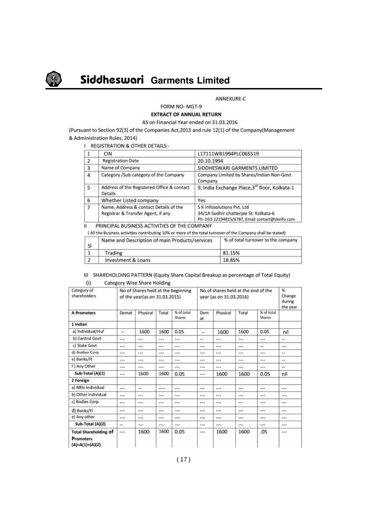

ANNEXURE-C

FORM NO-MGT-9

#### **EXTRACT OF ANNUAL RETURN**

AS on Financial Year ended on 31.03.2016

(Pursuant to Section 92(3) of the Companies Act, 2013 and rule 12(1) of the Company(Management & Administration Rules, 2014)

**I REGISTRATION & OTHER DETAILS:-**

| $\mathbf{1}$   | CIN                                                                          | L17111WB1994PLC065519                                                                                                  |
|----------------|------------------------------------------------------------------------------|------------------------------------------------------------------------------------------------------------------------|
| $\overline{2}$ | <b>Registration Date</b>                                                     | 20.10.1994                                                                                                             |
| 3              | Name of Company                                                              | SIDDHESWARI GARMENTS LIMITED                                                                                           |
| 4              | Category /Sub category of the Company                                        | Company Limited by Shares/Indian Non-Govt<br>Company                                                                   |
| 5              | Address of the Registered Office & contact<br>Details                        | 9, India Exchange Place, 3rd floor, Kolkata-1                                                                          |
| 6              | Whether Listed company                                                       | Yes                                                                                                                    |
| 7              | Name, Address & contact Details of the<br>Registrar & Transfer Agent, if any | S K Infosolutions Pvt. Ltd<br>34/1A Sudhir chatterjee St. Kolkata-6<br>Ph- 033-22194815/6787, Email contact@skinfo.com |

| <sub>SI</sub> | Name and Description of main Products/services | % of total turnover to the company |
|---------------|------------------------------------------------|------------------------------------|
|               | Trading                                        | 81.15%                             |
|               | Investment & Loans                             | 18.85%                             |

#### III SHAREHOLDING PATTERN (Equity Share Capital Breakup as percentage of Total Equity)  $(i)$ Category Wise Share Holding

| Category of<br>shareholders                                           | No of Shares held at the beginning<br>No of shares held at the end of the<br>of the year(as on 31.03.2015)<br>year (as on 31.03.2016) |              |       |                      |                     |              |             | %<br>Change<br>during<br>the year |               |
|-----------------------------------------------------------------------|---------------------------------------------------------------------------------------------------------------------------------------|--------------|-------|----------------------|---------------------|--------------|-------------|-----------------------------------|---------------|
| <b>A Promoters</b>                                                    | Demat                                                                                                                                 | Physical     | Total | % of total<br>Shares | Dem<br>at           | Physical     | Total       | % of total<br>Shares              |               |
| 1 Indian                                                              |                                                                                                                                       |              |       |                      |                     |              |             |                                   |               |
| a) Individual/Huf                                                     | --                                                                                                                                    | 1600         | 1600  | 0.05                 | --                  | 1600         | 1600        | 0.05                              | nil           |
| b) Central Govt                                                       | $m = m$                                                                                                                               | ine.         | ---   | $***$                | sink.               | <b>MADE</b>  | $***$       | state.                            | $\cdots$      |
| c) State Govt                                                         | ---                                                                                                                                   | ---          | ---   | ---                  | ---                 | $---$        | ---         | --                                | ---           |
| d) Bodies Corp                                                        | stemmer                                                                                                                               | <b>NWH</b>   | mine. | <b><i>Birth</i></b>  | <b><i>IMMIN</i></b> | <b>HEMIS</b> | men.        | since                             | $\cdots$      |
| e) Banks/FI                                                           | ---                                                                                                                                   | $---$        | ---   | $\cdots$             | ---                 | ---          | ---         | $\cdots$                          | --            |
| f ) Any Other                                                         | $m = m$                                                                                                                               | aww.         | warm. | $***$                | <b>Internet</b>     | <b>IFWY</b>  | $***$       | $m = m$                           | $\frac{1}{2}$ |
| Sub-Total (A)(1)                                                      | $-$                                                                                                                                   | 1600         | 1600  | 0.05                 | ---                 | 1600         | 1600        | 0.05                              | nil           |
| 2 Foreign                                                             |                                                                                                                                       |              |       |                      |                     |              |             |                                   |               |
| a) NRIs-Individual                                                    | ---                                                                                                                                   | --           | ----  | ---                  | ---                 | ---          | ---         | ---                               | ---           |
| b) Other individual                                                   | $m = m$                                                                                                                               | $n = n$      | 1.11  | 1.12                 | $m = m$             | ---          | 1.11        | $m = m$                           | --            |
| c) Bodies Corp.                                                       | $---$                                                                                                                                 | ---          | ---   | ---                  | ---                 | ---          | ---         | $\cdots$                          | ---           |
| d) Banks/FI                                                           | <b>ALLEN</b>                                                                                                                          | <b>MARKE</b> | down. | $***$                | man                 | <b>MAN</b>   | <b>HALL</b> | <b>MAIN</b>                       | <b>HER</b>    |
| e) Any other                                                          | ---                                                                                                                                   | ---          | ---   | ---                  | ---                 | ---          | ---         | ---                               | ---           |
| Sub-Total (A)(2)                                                      | $-$                                                                                                                                   | $***$        | $***$ | $n \times n$         | <b>WWW</b>          | <b>MAIN</b>  | $***$       | $m = m$                           | $-$           |
| <b>Total Shareholding Of</b><br><b>Promoters</b><br>$(A)=A(1)+(A)(2)$ | ---                                                                                                                                   | 1600         | 1600  | 0.05                 | ---                 | 1600         | 1600        | .05                               | $\cdots$      |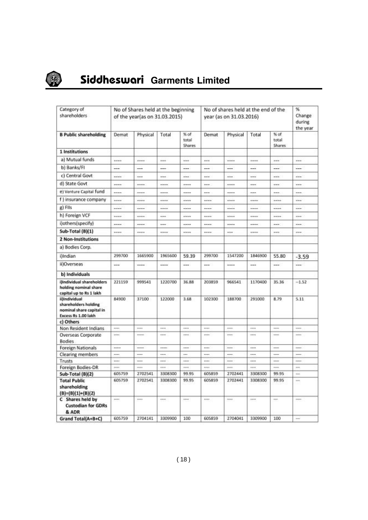

| Category of<br>shareholders                                                              |              | No of Shares held at the beginning<br>of the year(as on 31.03.2015) |                          |                           |                | No of shares held at the end of the<br>year (as on 31.03.2016) |                  |                                | 96<br>Change<br>during<br>the year. |
|------------------------------------------------------------------------------------------|--------------|---------------------------------------------------------------------|--------------------------|---------------------------|----------------|----------------------------------------------------------------|------------------|--------------------------------|-------------------------------------|
| <b>B Public shareholding</b>                                                             | Demat        | Physical                                                            | Total                    | $%$ of<br>total<br>Shares | Demat          | Physical                                                       | Total            | % of<br>total<br><b>Shares</b> |                                     |
| 1 Institutions                                                                           |              |                                                                     |                          |                           |                |                                                                |                  |                                |                                     |
| a) Mutual funds                                                                          | <b>HOMES</b> | <b>ARMA</b>                                                         | 1000                     | <b>Side</b>               | <b>MAG</b>     | <b>House</b>                                                   | <b>AMAN</b>      | <b>ALCOHOL</b>                 | <b>March</b>                        |
| b) Banks/Fl                                                                              | ---          | ---                                                                 | ---                      | ---                       | ---            | ---                                                            | ---              | ---                            | ---                                 |
| c) Central Govt                                                                          | فالمائدة     | ---                                                                 | <b>Sind</b>              | فتفقط                     | ---            | سندد                                                           | $-$              | منتبذ                          | since a                             |
| d) State Govt                                                                            | ----         | ----                                                                | ----                     | ----                      | ---            | ----                                                           | $\frac{1}{2}$    | <b>STATION</b>                 | <b>Winter</b>                       |
| e) Venture Capital fund                                                                  |              | ----                                                                | ----                     | ****                      | ---            | ----                                                           | ---              |                                |                                     |
| f ) insurance company                                                                    | $\cdots$     |                                                                     | ----                     | ----                      |                | mining                                                         | $\cdots$         | ---                            | simo.                               |
| g) Fils                                                                                  | ----         | ----                                                                | ----                     |                           | ----           | ----                                                           | ----             | ----                           | ---                                 |
| h) Foreign VCF                                                                           |              |                                                                     |                          | ----                      |                |                                                                |                  |                                |                                     |
|                                                                                          |              |                                                                     | $rac{1}{2}$              | ----                      | ----           | <b>winner</b>                                                  | ----             | ----                           | ---                                 |
| i)others(specify)                                                                        | ----         | ----                                                                | <b>House</b>             | ----                      | ----           | ----                                                           | ----             | min.                           | simon.                              |
| Sub-Total (B)(1)                                                                         | ----         |                                                                     | ----                     | ****                      | ----           | <b>The Contract</b>                                            | ----             | $\rightarrow$                  | $+ -$                               |
| 2 Non-Institutions                                                                       |              |                                                                     |                          |                           |                |                                                                |                  |                                |                                     |
| a) Bodies Corp.                                                                          |              |                                                                     |                          |                           |                |                                                                |                  |                                |                                     |
| illndian                                                                                 | 299700       | 1665900                                                             | 1965600                  | 59.39                     | 299700         | 1547200                                                        | 1846900          | 55.80                          | $-3.59$                             |
| ii)Overseas                                                                              | u.           | ----                                                                | ----                     | alan                      | ---            | ----                                                           | ---              |                                | aan                                 |
| b) Individuals                                                                           |              |                                                                     |                          |                           |                |                                                                |                  |                                |                                     |
| ilindividual shareholders<br>holding nominal share<br>capital up to Rs 1 lakh            | 221159       | 999541                                                              | 1220700                  | 36.88                     | 203859         | 966541                                                         | 1170400          | 35.36                          | $-1.52$                             |
| ii)Individual<br>shareholders holding<br>nominal share capital in<br>Excess Rs 1.00 lakh | 84900        | 37100                                                               | 122000                   | 3.68                      | 102300         | 188700                                                         | 291000           | 8.79                           | 5.11                                |
| c) Others                                                                                |              |                                                                     |                          |                           |                |                                                                |                  |                                |                                     |
| Non Resident Indians                                                                     |              |                                                                     |                          |                           |                | 11111                                                          | ----             | ÷                              |                                     |
| Overseas Corporate<br><b>Bodies</b>                                                      | <b>Since</b> |                                                                     | $\cdots$                 | $rac{1}{2}$               | min.           | ine.                                                           | $\frac{1}{2}$    | $+1$                           | $rac{1}{2}$                         |
| Foreign Nationals                                                                        | -            | -----                                                               | -----                    | ----                      |                | ---                                                            | $\frac{1}{2}$    | ---                            | $\cdots$                            |
| <b>Clearing members</b>                                                                  | ----         |                                                                     | $\overline{\phantom{a}}$ | ---                       |                | $\overline{a}$                                                 | $\cdots$         | ---                            | $\overline{a}$                      |
| <b>Trusts</b>                                                                            | <b>Since</b> |                                                                     | ---                      | <b>STATE</b>              | <b>Service</b> | <b>Since</b>                                                   | <b>Color</b>     | -                              | $\sim$                              |
| Foreign Bodies-DR                                                                        | <b>ARMS</b>  | <b>ANNIS</b>                                                        | 4444                     | -                         | <b>ANGER</b>   | <b>Alleged</b>                                                 | <b>STATISTIC</b> | -                              | ining                               |
| Sub-Total (B)(2)                                                                         | 605759       | 2702541                                                             | 3308300                  | 99.95                     | 605859         | 2702441                                                        | 3308300          | 99.95                          | in.                                 |
| <b>Total Public</b><br>shareholding<br>$(B)=(B)(1)+(B)(2)$                               | 605759       | 2702541                                                             | 3308300                  | 99.95                     | 605859         | 2702441                                                        | 3308300          | 99.95                          | inco.                               |
| C Shares held by<br><b>Custodian for GDRs</b><br>& ADR                                   | 14888        | sana                                                                | anas.                    | issue                     | sake.          | <b><i>Institute</i></b>                                        | 14.14            | said.                          | saan.                               |
| Grand Total(A+B+C)                                                                       | 605759       | 2704141                                                             | 3309900                  | 100                       | 605859         | 2704041                                                        | 3309900          | 100                            | $rac{1}{2}$                         |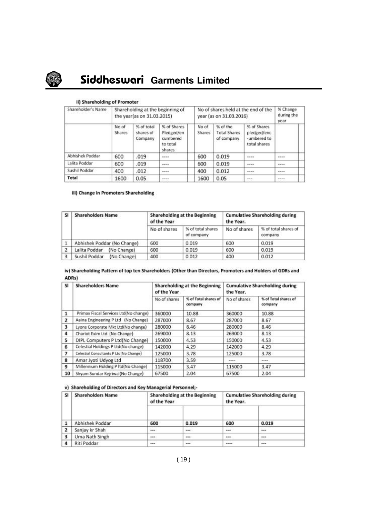

| Shareholder's Name |                 | the year(as on 31.03.2015)         | Shareholding at the beginning of                            |                        | No of shares held at the end of the<br>year (as on 31.03.2016) |                                                           | % Change<br>during the<br>year |
|--------------------|-----------------|------------------------------------|-------------------------------------------------------------|------------------------|----------------------------------------------------------------|-----------------------------------------------------------|--------------------------------|
|                    | No of<br>Shares | % of total<br>shares of<br>Company | % of Shares<br>Pledged/en<br>cumbered<br>to total<br>shares | No of<br><b>Shares</b> | % of the<br><b>Total Shares</b><br>of company                  | % of Shares<br>pledged/enc<br>-umbered to<br>total shares |                                |
| Abhishek Poddar    | 600             | .019                               | <b>MAILS</b>                                                | 600                    | 0.019                                                          | ----                                                      | <b>Britisher</b>               |
| Lalita Poddar      | 600             | .019                               | ----                                                        | 600                    | 0.019                                                          | فتقصد                                                     | in and a                       |
| Sushil Poddar      | 400             | .012                               | <b>DESCRIPTION</b>                                          | 400                    | 0.012                                                          | <b>House Series</b>                                       | <b>Material</b>                |
| Total              | 1600            | 0.05                               | ----                                                        | 1600                   | 0.05                                                           | $\sim$                                                    | ----                           |

#### ii) Shareholding of Promoter

#### iii) Change in Promoters Shareholding

| SI | <b>Shareholders Name</b>     | of the Year  | Shareholding at the Beginning   | <b>Cumulative Shareholding during</b><br>the Year. |                                 |
|----|------------------------------|--------------|---------------------------------|----------------------------------------------------|---------------------------------|
|    |                              | No of shares | % of total shares<br>of company | No of shares                                       | % of total shares of<br>company |
|    | Abhishek Poddar (No Change)  | 600          | 0.019                           | 600                                                | 0.019                           |
|    | Lalita Poddar<br>(No Change) | 600          | 0.019                           | 600                                                | 0.019                           |
|    | Sushil Poddar<br>(No Change) | 400          | 0.012                           | 400                                                | 0.012                           |

#### iv) Shareholding Pattern of top ten Shareholders (Other than Directors, Promoters and Holders of GDRs and ADRs)

| SI           | <b>Shareholders Name</b>               | of the Year  | Shareholding at the Beginning   | the Year.    | <b>Cumulative Shareholding during</b> |
|--------------|----------------------------------------|--------------|---------------------------------|--------------|---------------------------------------|
|              |                                        | No of shares | % of Total shares of<br>company | No of shares | % of Total shares of<br>company       |
| 1            | Primax Fiscal Services Ltd(No change)  | 360000       | 10.88                           | 360000       | 10.88                                 |
| $\mathbf{z}$ | Aaina Engineering P Ltd (No Change)    | 287000       | 8.67                            | 287000       | 8.67                                  |
| з            | Lyons Corporate Mkt Ltd(No change)     | 280000       | 8.46                            | 280000       | 8.46                                  |
| 4            | Chariot Exim Ltd (No Change)           | 269000       | 8.13                            | 269000       | 8.13                                  |
| 5            | DIPL Computers P Ltd(No Change)        | 150000       | 4.53                            | 150000       | 4.53                                  |
| 6            | Celestial Holdings P Ltd(No change)    | 142000       | 4.29                            | 142000       | 4.29                                  |
| 7            | Celestial Consultants P Ltd(No Change) | 125000       | 3.78                            | 125000       | 3.78                                  |
| 8            | Amar Jyoti Udyog Ltd                   | 118700       | 3.59                            | ----         | ----                                  |
| 9            | Millennium Holding P Itd(No Change)    | 115000       | 3.47                            | 115000       | 3.47                                  |
| 10           | Shvam Sundar Kejriwal(No Change)       | 67500        | 2.04                            | 67500        | 2.04                                  |

#### v) Shareholding of Directors and Key Managerial Personnel;-

| SI | <b>Shareholders Name</b> | of the Year  | Shareholding at the Beginning | the Year. | <b>Cumulative Shareholding during</b> |
|----|--------------------------|--------------|-------------------------------|-----------|---------------------------------------|
| 1  |                          |              |                               |           |                                       |
|    | Abhishek Poddar          | 600          | 0.019                         | 600       | 0.019                                 |
| 2  | Sanjay kr Shah           | 1000         | $***$                         | $-$       | <b>MONTH</b>                          |
| 3  | Uma Nath Singh           | <b>Bally</b> | <b>ALCOHOL:</b>               | 444       | <b>HALL</b>                           |
| 4  | Riti Poddar              | ---          | ---                           | ----      | ---                                   |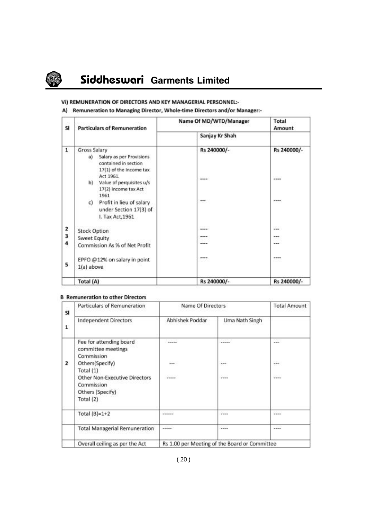

#### Vi) REMUNERATION OF DIRECTORS AND KEY MANAGERIAL PERSONNEL:-

#### A) Remuneration to Managing Director, Whole-time Directors and/or Manager:-

| -16<br>SI    | <b>Particulars of Remuneration</b>                                                                | Name Of MD/WTD/Manager | Total<br>Amount |
|--------------|---------------------------------------------------------------------------------------------------|------------------------|-----------------|
|              |                                                                                                   | Sanjay Kr Shah         |                 |
| $\mathbf{1}$ | Gross Salary<br>Salary as per Provisions<br>a)<br>contained in section<br>17(1) of the Income tax | Rs 240000/-            | Rs 240000/-     |
|              | Act 1961.<br>b) Value of perquisites u/s<br>17(2) income tax Act<br>1961                          | $\overline{}$          | ----            |
|              | Profit in lieu of salary<br>C)<br>under Section 17(3) of<br>I. Tax Act, 1961                      | $***$                  | 100000          |
| 2<br>3       | <b>Stock Option</b>                                                                               |                        | ÷.              |
|              | Sweet Equity                                                                                      | ----                   | ---             |
| 4            | Commission As % of Net Profit                                                                     | ----                   | ---             |
| 5.           | EPFO @12% on salary in point<br>$1(a)$ above                                                      | <br>1990               | ----<br>82 A    |
|              | Total (A)                                                                                         | Rs 240000/-            | Rs 240000/-     |

#### **B** Remuneration to other Directors

| SI           | Particulars of Remuneration                                 | Name Of Directors             |                                               | <b>Total Amount</b> |
|--------------|-------------------------------------------------------------|-------------------------------|-----------------------------------------------|---------------------|
| 1            | Independent Directors                                       | Abhishek Poddar               | Uma Nath Singh                                |                     |
|              | Fee for attending board<br>committee meetings<br>Commission | <b><i><u>PERSONAL</u></i></b> | -----                                         | ---                 |
| $\mathbf{z}$ | Others(Specify)                                             | $\frac{1}{2}$                 | ---                                           | Ш.                  |
|              | Total $(1)$                                                 |                               |                                               |                     |
|              | Other Non-Executive Directors                               | <b><i>STARTS</i></b>          | $\cdots$                                      | $\cdots$            |
|              | Commission                                                  |                               |                                               |                     |
|              | Others (Specify)                                            |                               |                                               |                     |
|              | Total (2)                                                   |                               |                                               |                     |
|              | Total $(B)=1+2$                                             | ******                        | <b>STERN</b>                                  | ****                |
|              | <b>Total Managerial Remuneration</b>                        | -----                         | ----                                          | ----                |
|              | Overall ceiling as per the Act                              |                               | Rs 1.00 per Meeting of the Board or Committee |                     |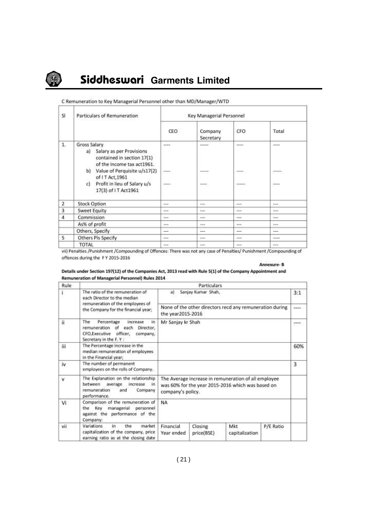

| SI             | Particulars of Remuneration                                                                                                                                                                                             |                      | Key Managerial Personnel |                                     |                 |
|----------------|-------------------------------------------------------------------------------------------------------------------------------------------------------------------------------------------------------------------------|----------------------|--------------------------|-------------------------------------|-----------------|
|                |                                                                                                                                                                                                                         | CEO                  | Company<br>Secretary     | CFO                                 | Total           |
| 1.             | Gross Salary<br>a) Salary as per Provisions<br>contained in section 17(1)<br>of the Income tax act1961.<br>b) Value of Perquisite u/s17(2)<br>of IT Act, 1961<br>c) Profit in lieu of Salary u/s<br>17(3) of IT Act1961 | ----<br>----<br>---- | -----<br>-----<br>$---$  | <b>ALCOHOL</b><br>$\cdots$<br>----- | ---<br><br>---- |
| $\overline{2}$ | <b>Stock Option</b>                                                                                                                                                                                                     | ---                  | $\overline{a}$           | $-$                                 | $---$           |
| 3              | Sweet Equity                                                                                                                                                                                                            | ---                  | $-$                      | ---                                 | $\cdots$        |
| 4              | Commission                                                                                                                                                                                                              | <b>STATIST</b>       | <b>HELP</b>              | <b>WWW</b>                          | <b>WWW</b>      |
|                | As% of profit                                                                                                                                                                                                           | <b>ALACHO</b>        | <b>ARCHITECT</b>         | <b>BALLEY</b>                       | ALC U           |
|                | Others, Specify                                                                                                                                                                                                         | ---                  | $-$                      | $-$                                 | $\sim$          |
| 5              | Others Pls Specify                                                                                                                                                                                                      | ---                  | $---$                    | ---                                 | ----            |
|                | <b>TOTAL</b>                                                                                                                                                                                                            | <b>MAGE</b>          | <b>SERVICE</b>           | <b>Mark Cold</b>                    | <b>WWW</b>      |

#### C Remuneration to Key Managerial Personnel other than MD/Manager/WTD

vii) Penalties /Punishment /Compounding of Offences: There was not any case of Penalties/ Punishment /Compounding of offences during the FY 2015-2016

#### Annexure-B

#### Details under Section 197(12) of the Companies Act, 2013 read with Rule 5(1) of the Company Appointment and **Remuneration of Managerial Personnel) Rules 2014**

| Rule |                                                                                                                                                |                         | Particulars           |                                                                                                           |           |                |  |
|------|------------------------------------------------------------------------------------------------------------------------------------------------|-------------------------|-----------------------|-----------------------------------------------------------------------------------------------------------|-----------|----------------|--|
| ĩ.   | The ratio of the remuneration of<br>each Director to the median                                                                                | a)                      | Sanjay Kumar Shah,    |                                                                                                           |           | 3:1            |  |
|      | remuneration of the employees of<br>the Company for the financial year;                                                                        | the year2015-2016       |                       | None of the other directors recd any remuneration during                                                  |           | $\cdots$       |  |
| ii   | Percentage<br>The<br>increase<br>in<br>of each<br>remuneration<br>Director,<br>officer.<br>CFO, Executive<br>company,<br>Secretary in the F.Y: | Mr Sanjay kr Shah       |                       |                                                                                                           |           | ----<br>95 S.H |  |
| iii  | The Percentage increase in the<br>median remuneration of employees<br>in the Financial year;                                                   |                         |                       |                                                                                                           |           | 60%            |  |
| iv   | The number of permanent<br>employees on the rolls of Company.                                                                                  |                         |                       |                                                                                                           |           | 3              |  |
| v    | The Explanation on the relationship<br>between<br>average<br>increase<br>in<br>remuneration<br>Company<br>and<br>performance.                  | company's policy.       |                       | The Average increase in remuneration of all employee<br>was 60% for the year 2015-2016 which was based on |           |                |  |
| Vi   | Comparison of the remuneration of<br>the Key<br>managerial personnel<br>against the performance of the<br>Company:                             | NA                      |                       |                                                                                                           |           |                |  |
| vii  | market<br>Variations<br>in<br>the<br>capitalization of the company, price<br>earning ratio as at the closing date                              | Financial<br>Year ended | Closing<br>price(BSE) | Mkt<br>capitalization                                                                                     | P/E Ratio |                |  |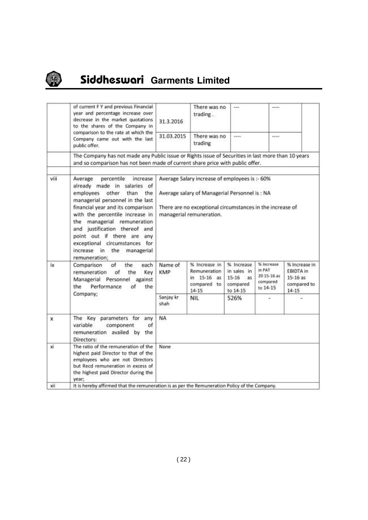

|      | of current FY and previous Financial<br>year and percentage increase over<br>decrease in the market quotations<br>to the shares of the Company in                                                                                                                                                                                                                                            | 31.3.2016         | There was no<br>trading.                                                                                                                                                                  | ---                                                                   |                                                             |                                                                      |
|------|----------------------------------------------------------------------------------------------------------------------------------------------------------------------------------------------------------------------------------------------------------------------------------------------------------------------------------------------------------------------------------------------|-------------------|-------------------------------------------------------------------------------------------------------------------------------------------------------------------------------------------|-----------------------------------------------------------------------|-------------------------------------------------------------|----------------------------------------------------------------------|
|      | comparison to the rate at which the<br>Company came out with the last<br>public offer.                                                                                                                                                                                                                                                                                                       | 31.03.2015        | There was no<br>trading                                                                                                                                                                   | <b>ARANT</b>                                                          |                                                             |                                                                      |
|      | The Company has not made any Public issue or Rights issue of Securities in last more than 10 years<br>and so comparison has not been made of current share price with public offer.                                                                                                                                                                                                          |                   |                                                                                                                                                                                           |                                                                       |                                                             |                                                                      |
| viii | percentile<br>Average<br>increase<br>already made in salaries of<br>employees other<br>than<br>the<br>managerial personnel in the last<br>financial year and its comparison<br>with the percentile increase in<br>the managerial remuneration<br>and justification thereof and<br>point out if there are any<br>exceptional circumstances for<br>increase in the managerial<br>remuneration: |                   | Average Salary increase of employees is :- 60%<br>Average salary of Managerial Personnel is : NA<br>There are no exceptional circumstances in the increase of<br>managerial remuneration. |                                                                       |                                                             |                                                                      |
| īх   | of<br>the<br>each<br>Comparison<br>remuneration<br>of<br>the<br>Key<br>Managerial Personnel<br>against<br>Performance<br>the<br>of<br>the<br>Company;                                                                                                                                                                                                                                        | Name of<br>KMP    | % Increase in<br>Remuneration<br>in 15-16 as<br>compared to<br>14-15                                                                                                                      | % Increase<br>in sales in<br>$15 - 16$<br>as:<br>compared<br>to 14-15 | % Increase<br>in PAT<br>20 15-16 as<br>compared<br>to 14-15 | % Increase in<br>EBIDTA in<br>$15-16$ as<br>compared to<br>$14 - 15$ |
|      |                                                                                                                                                                                                                                                                                                                                                                                              | Sanjay kr<br>shah | NIL.                                                                                                                                                                                      | 526%                                                                  | $\overline{\phantom{a}}$                                    |                                                                      |
| x    | The Key parameters for any<br>variable<br>of<br>component<br>remuneration availed by the<br>Directors:                                                                                                                                                                                                                                                                                       | <b>NA</b>         |                                                                                                                                                                                           |                                                                       |                                                             |                                                                      |
| xï   | The ratio of the remuneration of the<br>highest paid Director to that of the<br>employees who are not Directors<br>but Recd remuneration in excess of<br>the highest paid Director during the<br>year;                                                                                                                                                                                       | None              |                                                                                                                                                                                           |                                                                       |                                                             |                                                                      |
| xii  | It is hereby affirmed that the remuneration is as per the Remuneration Policy of the Company.                                                                                                                                                                                                                                                                                                |                   |                                                                                                                                                                                           |                                                                       |                                                             |                                                                      |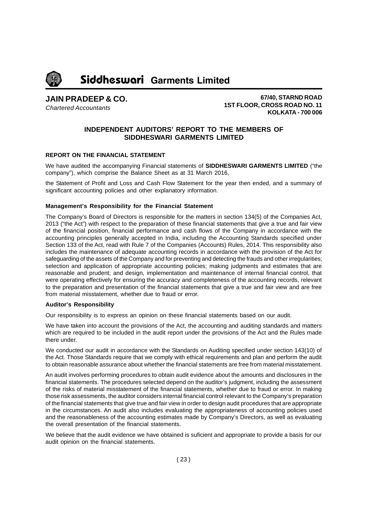

*Chartered Accountants*

**67/40, STARND ROAD 1ST FLOOR, CROSS ROAD NO. 11 KOLKATA - 700 006**

### **INDEPENDENT AUDITORS' REPORT TO THE MEMBERS OF SIDDHESWARI GARMENTS LIMITED**

#### **REPORT ON THE FINANCIAL STATEMENT**

We have audited the accompanying Financial statements of **SIDDHESWARI GARMENTS LIMITED** ("the company"), which comprise the Balance Sheet as at 31 March 2016,

the Statement of Profit and Loss and Cash Flow Statement for the year then ended, and a summary of significant accounting policies and other explanatory information.

#### **Management's Responsibility for the Financial Statement**

The Company's Board of Directors is responsible for the matters in section 134(5) of the Companies Act, 2013 ("the Act") with respect to the preparation of these financial statements that give a true and fair view of the financial position, financial performance and cash flows of the Company in accordance with the accounting principles generally accepted in India, including the Accounting Standards specified under Section 133 of the Act, read with Rule 7 of the Companies (Accounts) Rules, 2014. This responsibility also includes the maintenance of adequate accounting records in accordance with the provision of the Act for safeguarding of the assets of the Company and for preventing and detecting the frauds and other irregularities; selection and application of appropriate accounting policies; making judgments and estimates that are reasonable and prudent; and design, implementation and maintenance of internal financial control, that were operating effectively for ensuring the accuracy and completeness of the accounting records, relevant to the preparation and presentation of the financial statements that give a true and fair view and are free from material misstatement, whether due to fraud or error.

#### **Auditor's Responsibility**

Our responsibility is to express an opinion on these financial statements based on our audit.

We have taken into account the provisions of the Act, the accounting and auditing standards and matters which are required to be included in the audit report under the provisions of the Act and the Rules made there under.

We conducted our audit in accordance with the Standards on Auditing specified under section 143(10) of the Act. Those Standards require that we comply with ethical requirements and plan and perform the audit to obtain reasonable assurance about whether the financial statements are free from material misstatement.

An audit involves performing procedures to obtain audit evidence about the amounts and disclosures in the financial statements. The procedures selected depend on the auditor's judgment, including the assessment of the risks of material misstatement of the financial statements, whether due to fraud or error. In making those risk assessments, the auditor considers internal financial control relevant to the Company's preparation of the financial statements that give true and fair view in order to design audit procedures that are appropriate in the circumstances. An audit also includes evaluating the appropriateness of accounting policies used and the reasonableness of the accounting estimates made by Company's Directors, as well as evaluating the overall presentation of the financial statements.

We believe that the audit evidence we have obtained is suficient and appropriate to provide a basis for our audit opinion on the financial statements.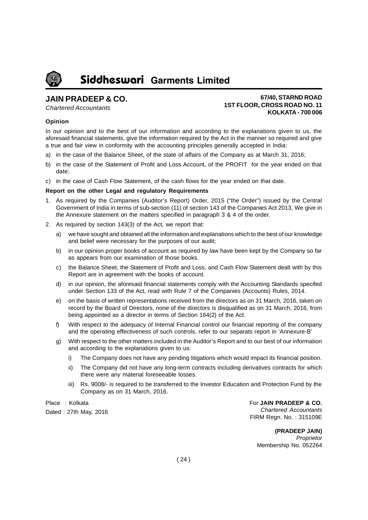

*Chartered Accountants*

### **67/40, STARND ROAD 1ST FLOOR, CROSS ROAD NO. 11 KOLKATA - 700 006**

#### **Opinion**

In our opinion and to the best of our information and according to the explanations given to us, the aforesaid financial statements, give the information required by the Act in the manner so required and give a true and fair view in conformity with the accounting principles generally accepted in India: **Opinion**<br>In our opinion and to the best of our information and according to the explanations given to us, the<br>aforesaid financial statements, give the information required by the Act in the manner so required and give<br>a t In our opinion and to the best of our information and according to the explanations given to us, the aforesaid financial statements, give the information required by the Act in the manner so required and give a true and fa

- 
- date; (a) in the case of the Balance Sheet, of the state of affairs of the Company as at March 31, 2016;<br>
(b) in the case of the Statement of Profit and Loss Account, of the PROFIT for the year ended on that date;<br>
(c) in the ca
- 

#### **Report on the other Legal and regulatory Requirements**

- 1. As required by the Companies (Auditor's Report) Order, 2015 ("the Order") issued by the Central<br>
1. As required by the Companies (Auditor's Report) Order, 2015 ("the Order") issued by the Central<br>
4. Government of India Government of India in terms of sub-section (11) of section 143 of the Companies Act 2013, We give in the Annexure statement on the matters specified in paragraph 3 & 4 of the order. Report on the other Legal and regulatory Requirements<br>
1. As required by the Companies (Auditor's Report) Order, 20<br>
Government of India in terms of sub-section (11) of section 14<br>
the Annexure statement on the matters spe As required by the Companies (Auditor's Report) Order, 2015 ("the Order") issued by the Central<br>Government of India in terms of sub-section (11) of section 143 of the Companies Act 2013, We give in<br>the Annexure statement
- 
- and belief were necessary for the purposes of our audit; 2. As required by section 143(3) of the Act, we report that:<br>
a) we have sought and obtained all the information and explanations which to the best of our knowledge<br>
and belief were necessary for the purposes of our audit;
	- as appears from our examination of those books.
	- c) the Balance Sheet, the Statement of Profit and Loss, and Cash Flow Statement dealt with by this<br>
	c) the Balance Sheet, the Statement of Profit and Loss, and Cash Flow Statement dealt with by this<br>
	Report are in agreemen Report are in agreement with the books of account. c) the Balance Sheet, the Statement of Profit and Loss, and Cash Flow Statement dealt with by this<br>Report are in agreement with the books of account.<br>d) in our opinion, the aforesaid financial statements comply with the Ac
	- under Section 133 of the Act, read with Rule 7 of the Companies (Accounts) Rules, 2014.
	- e) the Balance Sheet, the Statement of Profit and Loss, and Cash Flow Statement dealt with by this<br>Report are in agreement with the books of account.<br>d) in our opinion, the aforesaid financial statements comply with the Ac record by the Board of Directors, none of the directors is disqualified as on 31 March, 2016, from being appointed as a director in terms of Section 164(2) of the Act. under Section 133 of the Act, read with Rule 7 of the Companies (Accounts) Rules, 2014.<br>
	e) on the basis of written representations received from the directors as on 31 March, 2016, taken on<br>
	record by the Board of Directo
	- and the operating effectiveness of such controls, refer to our separats report in 'Annexure-B' f) With respect to the adequacy of Internal Financial control our financial reporting of the company and the operating effectiveness of such controls, refer to our separats report in 'Annexure-B' g) With respect to the oth
	- and according to the explanations given to us: With respect to the adequacy of Internal Financial control our financial reporting of the company<br>and the operating effectiveness of such controls, refer to our separats report in 'Annexure-B'<br>With respect to the other mat With respect to the other matters included in the Auditor's Report and to our best of our information<br>and according to the explanations given to us:<br>i) The Company does not have any pending litigations which would impact i
		-
		- there were any material foreseeable losses. i) The Company does not have any pending litigations which would impact its financial position.<br>
		ii) The Company did not have any long-term contracts including derivatives contracts for which<br>
		there were any material fores
		- Company as on 31 March, 2016.

Place : Kolkata Dated : 27th May, 2016 For **JAIN PRADEEP & CO.** *Chartered Accountants* FIRM Regn. No. : 315109E

> **(PRADEEP JAIN)** *Proprietor* Membership No. 052264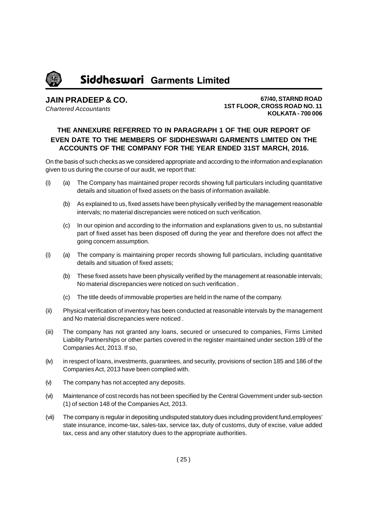

*Chartered Accountants*

**67/40, STARND ROAD 1ST FLOOR, CROSS ROAD NO. 11 KOLKATA - 700 006**

### **THE ANNEXURE REFERRED TO IN PARAGRAPH 1 OF THE OUR REPORT OF EVEN DATE TO THE MEMBERS OF SIDDHESWARI GARMENTS LIMITED ON THE ACCOUNTS OF THE COMPANY FOR THE YEAR ENDED 31ST MARCH, 2016.**

On the basis of such checks as we considered appropriate and according to the information and explanation given to us during the course of our audit, we report that: ACCOUNTS OF THE COMPANY FOR THE YEAR ENDED 31ST MARCH, 2016.<br>On the basis of such checks as we considered appropriate and according to the information and explanation<br>given to us during the course of our audit, we report t

- details and situation of fixed assets on the basis of information available. (a) The Company has maintained proper records showing full particulars including quantitative
	- intervals; no material discrepancies were noticed on such verification. (b) As explained to us, fixed assets have been physically verified by the management reasonable
- part of fixed asset has been disposed off during the year and therefore does not affect the going concern assumption. (c) In our opinion and according to the information and explanations given to us, no substantial<br>part of fixed asset has been disposed off during the year and therefore does not affect the<br>going concern assumption.<br>(i) (a)
- details and situation of fixed assets;
- (a) The company is maintaining proper records showing full particulars, including quantitative<br>details and situation of fixed assets;<br>(b) These fixed assets have been physically verified by the management at reasonable int No material discrepancies were noticed on such verification . details and situation of fixed assets;<br>
(b) These fixed assets have been physically verified by the management at reasonable<br>
No material discrepancies were noticed on such verification .<br>
(c) The title deeds of immovable
	-
- (ii) Physical verification of inventory has been conducted at reasonable intervals by the management and No material discrepancies were noticed .
- (iii) The company has not granted any loans, secured or unsecured to companies, Firms Limited Liability Partnerships or other parties covered in the register maintained under section 189 of the Companies Act, 2013. If so, (iii) The company has not granted any loans, secured or unsecured to companies, Firms Limited<br>Liability Partnerships or other parties covered in the register maintained under section 189 of the<br>Companies Act, 2013. If so,<br>
- Companies Act, 2013 have been complied with. Companies Act, 2013. If so,<br>
(iv) in respect of loans, investments, guarantees, and s<br>
Companies Act, 2013 have been complied with.<br>
(v) The company has not accepted any deposits.<br>
(vi) Maintenance of cost records has not
- 
- (vi) Maintenance of cost records has not been specified by the Central Government under sub-section (1) of section 148 of the Companies Act, 2013.
- (vii) The company is regular in depositing undisputed statutory dues including provident fund,employees' state insurance, income-tax, sales-tax, service tax, duty of customs, duty of excise, value added tax, cess and any other statutory dues to the appropriate authorities.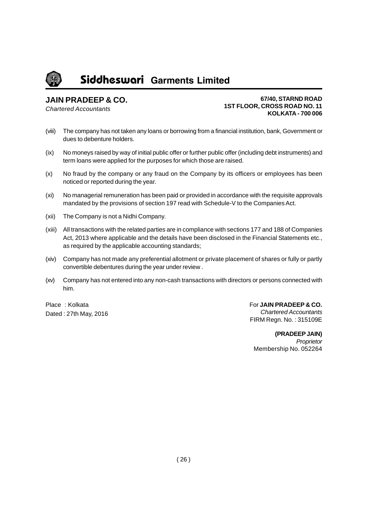

*Chartered Accountants*

#### **67/40, STARND ROAD 1ST FLOOR, CROSS ROAD NO. 11 KOLKATA - 700 006**

- (viii) The company has not taken any loans or borrowing from a financial institution, bank, Government or dues to debenture holders.
- (viii) The company has not taken any loans or borrowing from a financial institution, bank, Government or dues to debenture holders.<br>(ix) No moneys raised by way of initial public offer or further public offer (including d term loans were applied for the purposes for which those are raised. (ix) No moneys raised by way of initial public offer or further public offer (including debt instruments) and<br>term loans were applied for the purposes for which those are raised.<br>(x) No fraud by the company or any fraud on
- noticed or reported during the year. term loans were applied for the purposes for which those are raised.<br>
(x) No fraud by the company or any fraud on the Company by its officers or employees has been<br>
noticed or reported during the year.<br>
(xi) No managerial
- mandated by the provisions of section 197 read with Schedule-V to the Companies Act. (xi) No managerial remuneration has been paid or provided in accordance with the requisite approvals<br>mandated by the provisions of section 197 read with Schedule-V to the Companies Act.<br>(xii) The Company is not a Nidhi Com
- 
- All transactions with the related parties are in compliance with sections 177 and 188 of Companies Act, 2013 where applicable and the details have been disclosed in the Financial Statements etc., as required by the applicable accounting standards;
- (xiv) Company has not made any preferential allotment or private placement of shares or fully or partly convertible debentures during the year under review . as required by the applicable accounting standards;<br>
(xiv) Company has not made any preferential allotment or private placement of shares or fully or partly<br>
convertible debentures during the year under review .<br>
(xv) Comp
- him.

Place : Kolkata Dated : 27th May, 2016 For **JAIN PRADEEP & CO.** *Chartered Accountants* FIRM Regn. No. : 315109E

**(PRADEEP JAIN)** *Proprietor* Membership No. 052264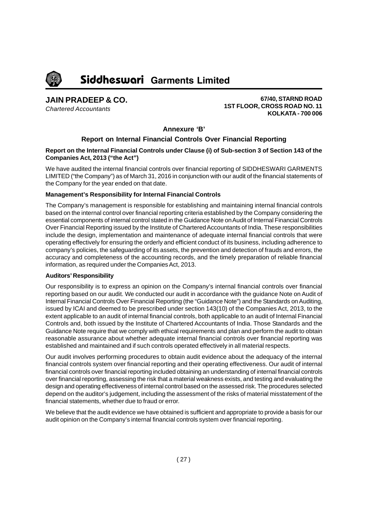

*Chartered Accountants*

**67/40, STARND ROAD 1ST FLOOR, CROSS ROAD NO. 11 KOLKATA - 700 006**

**Annexure 'B'**

### **Report on Internal Financial Controls Over Financial Reporting**

#### **Report on the Internal Financial Controls under Clause (i) of Sub-section 3 of Section 143 of the Companies Act, 2013 ("the Act")**

We have audited the internal financial controls over financial reporting of SIDDHESWARI GARMENTS LIMITED ("the Company") as of March 31, 2016 in conjunction with our audit of the financial statements of the Company for the year ended on that date.

#### **Management's Responsibility for Internal Financial Controls**

The Company's management is responsible for establishing and maintaining internal financial controls based on the internal control over financial reporting criteria established by the Company considering the essential components of internal control stated in the Guidance Note on Audit of Internal Financial Controls Over Financial Reporting issued by the Institute of Chartered Accountants of India. These responsibilities include the design, implementation and maintenance of adequate internal financial controls that were operating effectively for ensuring the orderly and efficient conduct of its business, including adherence to company's policies, the safeguarding of its assets, the prevention and detection of frauds and errors, the accuracy and completeness of the accounting records, and the timely preparation of reliable financial information, as required under the Companies Act, 2013.

#### **Auditors' Responsibility**

Our responsibility is to express an opinion on the Company's internal financial controls over financial reporting based on our audit. We conducted our audit in accordance with the guidance Note on Audit of Internal Financial Controls Over Financial Reporting (the "Guidance Note") and the Standards on Auditing, issued by ICAI and deemed to be prescribed under section 143(10) of the Companies Act, 2013, to the extent applicable to an audit of internal financial controls, both applicable to an audit of Internal Financial Controls and, both issued by the Institute of Chartered Accountants of India. Those Standards and the Guidance Note require that we comply with ethical requirements and plan and perform the audit to obtain reasonable assurance about whether adequate internal financial controls over financial reporting was established and maintained and if such controls operated effectively in all material respects.

Our audit involves performing procedures to obtain audit evidence about the adequacy of the internal financial controls system over financial reporting and their operating effectiveness. Our audit of internal financial controls over financial reporting included obtaining an understanding of internal financial controls over financial reporting, assessing the risk that a material weakness exists, and testing and evaluating the design and operating effectiveness of internal control based on the assessed risk. The procedures selected depend on the auditor's judgement, including the assessment of the risks of material misstatement of the financial statements, whether due to fraud or error.

We believe that the audit evidence we have obtained is sufficient and appropriate to provide a basis for our audit opinion on the Company's internal financial controls system over financial reporting.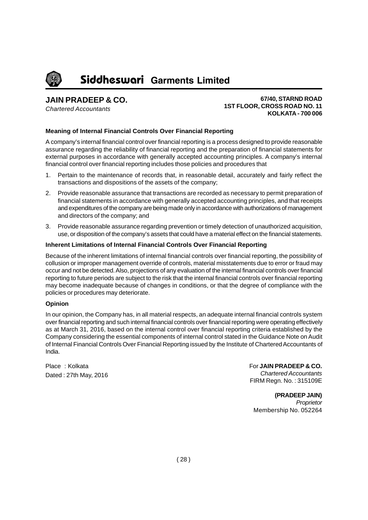

*Chartered Accountants*

#### **67/40, STARND ROAD 1ST FLOOR, CROSS ROAD NO. 11 KOLKATA - 700 006**

#### **Meaning of Internal Financial Controls Over Financial Reporting**

A company's internal financial control over financial reporting is a process designed to provide reasonable assurance regarding the reliability of financial reporting and the preparation of financial statements for external purposes in accordance with generally accepted accounting principles. A company's internal financial control over financial reporting includes those policies and procedures that 1. A company's internal financial control over financial reporting is a process designed to provide reasonable<br>assurance regarding the reliability of financial reporting and the preparation of financial statements for<br>exte

- transactions and dispositions of the assets of the company;
- External purposes in accordance with generally accepted accounting principles. A company sinternal financial control over financial reporting includes those policies and procedures that<br>
1. Pertain to the maintenance of re financial statements in accordance with generally accepted accounting principles, and that receipts and expenditures of the company are being made only in accordance with authorizations of management and directors of the company; and 2. Provide reasonable assurance that transactions are recorded as necessary to permit preparation of<br>financial statements in accordance with generally accepted accounting principles, and that receipts<br>and expenditures of t
- use, or disposition of the company's assets that could have a material effect on the financial statements.

#### **Inherent Limitations of Internal Financial Controls Over Financial Reporting**

Because of the inherent limitations of internal financial controls over financial reporting, the possibility of collusion or improper management override of controls, material misstatements due to error or fraud may occur and not be detected. Also, projections of any evaluation of the internal financial controls over financial reporting to future periods are subject to the risk that the internal financial controls over financial reporting may become inadequate because of changes in conditions, or that the degree of compliance with the policies or procedures may deteriorate.

#### **Opinion**

In our opinion, the Company has, in all material respects, an adequate internal financial controls system over financial reporting and such internal financial controls over financial reporting were operating effectively as at March 31, 2016, based on the internal control over financial reporting criteria established by the Company considering the essential components of internal control stated in the Guidance Note on Audit of Internal Financial Controls Over Financial Reporting issued by the Institute of Chartered Accountants of India.

Place : Kolkata Dated : 27th May, 2016 For **JAIN PRADEEP & CO.** *Chartered Accountants* FIRM Regn. No. : 315109E

**(PRADEEP JAIN)** *Proprietor* Membership No. 052264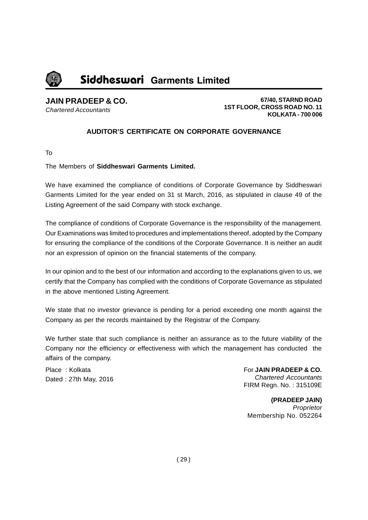**JAIN PRADEEP & CO.** *Chartered Accountants*

**67/40, STARND ROAD 1ST FLOOR, CROSS ROAD NO. 11 KOLKATA - 700 006**

### **AUDITOR'S CERTIFICATE ON CORPORATE GOVERNANCE**

To

The Members of **Siddheswari Garments Limited.**

We have examined the compliance of conditions of Corporate Governance by Siddheswari Garments Limited for the year ended on 31 st March, 2016, as stipulated in clause 49 of the Listing Agreement of the said Company with stock exchange.

The compliance of conditions of Corporate Governance is the responsibility of the management. Our Examinations was limited to procedures and implementations thereof, adopted by the Company for ensuring the compliance of the conditions of the Corporate Governance. It is neither an audit nor an expression of opinion on the financial statements of the company.

In our opinion and to the best of our information and according to the explanations given to us, we certify that the Company has complied with the conditions of Corporate Governance as stipulated in the above mentioned Listing Agreement.

We state that no investor grievance is pending for a period exceeding one month against the Company as per the records maintained by the Registrar of the Company.

We further state that such compliance is neither an assurance as to the future viability of the Company nor the efficiency or effectiveness with which the management has conducted the affairs of the company.

Place : Kolkata Dated : 27th May, 2016 For **JAIN PRADEEP & CO.** *Chartered Accountants* FIRM Regn. No. : 315109E

**(PRADEEP JAIN)** *Proprietor* Membership No. 052264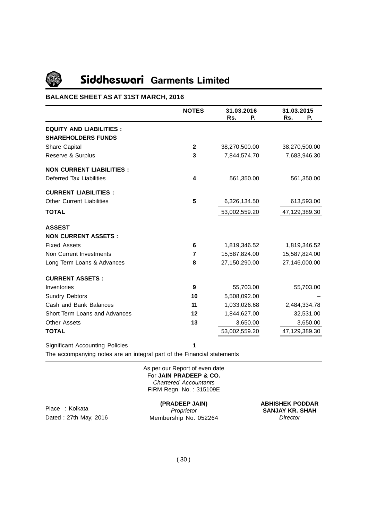

### **BALANCE SHEET AS AT 31ST MARCH, 2016**

| Siddheswari<br>数職                           | <b>Garments Limited</b> |                         |                         |  |  |  |  |  |
|---------------------------------------------|-------------------------|-------------------------|-------------------------|--|--|--|--|--|
| <b>BALANCE SHEET AS AT 31ST MARCH, 2016</b> |                         |                         |                         |  |  |  |  |  |
|                                             | <b>NOTES</b>            | 31.03.2016<br>Р.<br>Rs. | 31.03.2015<br>Rs.<br>Р. |  |  |  |  |  |
| <b>EQUITY AND LIABILITIES:</b>              |                         |                         |                         |  |  |  |  |  |
| <b>SHAREHOLDERS FUNDS</b>                   |                         |                         |                         |  |  |  |  |  |
| Share Capital                               | $\mathbf{2}$            | 38,270,500.00           | 38,270,500.00           |  |  |  |  |  |
| Reserve & Surplus                           | 3                       | 7,844,574.70            | 7,683,946.30            |  |  |  |  |  |
| <b>NON CURRENT LIABILITIES :</b>            |                         |                         |                         |  |  |  |  |  |
| <b>Deferred Tax Liabilities</b>             | 4                       | 561,350.00              | 561,350.00              |  |  |  |  |  |
| <b>CURRENT LIABILITIES :</b>                |                         |                         |                         |  |  |  |  |  |
| <b>Other Current Liabilities</b>            | 5                       | 6,326,134.50            | 613,593.00              |  |  |  |  |  |
| <b>TOTAL</b>                                |                         | 53,002,559.20           | 47,129,389.30           |  |  |  |  |  |
| <b>ASSEST</b>                               |                         |                         |                         |  |  |  |  |  |
| <b>NON CURRENT ASSETS:</b>                  |                         |                         |                         |  |  |  |  |  |
| <b>Fixed Assets</b>                         | 6                       | 1,819,346.52            | 1,819,346.52            |  |  |  |  |  |
| Non Current Investments                     | $\overline{7}$          | 15,587,824.00           | 15,587,824.00           |  |  |  |  |  |
| Long Term Loans & Advances                  | 8                       | 27,150,290.00           | 27,146,000.00           |  |  |  |  |  |
| <b>CURRENT ASSETS:</b>                      |                         |                         |                         |  |  |  |  |  |
| Inventories                                 | 9                       | 55,703.00               | 55,703.00               |  |  |  |  |  |
| <b>Sundry Debtors</b>                       | 10                      | 5,508,092.00            |                         |  |  |  |  |  |
| Cash and Bank Balances                      | 11                      | 1,033,026.68            | 2,484,334.78            |  |  |  |  |  |
| Short Term Loans and Advances               | 12                      | 1,844,627.00            | 32,531.00               |  |  |  |  |  |
| <b>Other Assets</b>                         | 13                      | 3,650.00                | 3,650.00                |  |  |  |  |  |
| <b>TOTAL</b>                                |                         | 53,002,559.20           | 47,129,389.30           |  |  |  |  |  |
| <b>Significant Accounting Policies</b>      | 1                       |                         |                         |  |  |  |  |  |

The accompanying notes are an integral part of the Financial statements

As per our Report of even date For **JAIN PRADEEP & CO.** *Chartered Accountants* FIRM Regn. No. : 315109E

Place : Kolkata Dated : 27th May, 2016

**(PRADEEP JAIN)** *Proprietor* Membership No. 052264 **ABHISHEK PODDAR SANJAY KR. SHAH** *Director*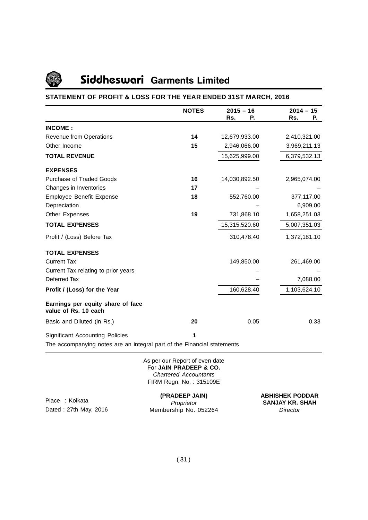### **STATEMENT OF PROFIT & LOSS FOR THE YEAR ENDED 31ST MARCH, 2016**

|                                                                         | <b>NOTES</b> | $2015 - 16$   | $2014 - 15$  |
|-------------------------------------------------------------------------|--------------|---------------|--------------|
|                                                                         |              | Р.<br>Rs.     | Р.<br>Rs.    |
| <b>INCOME:</b>                                                          |              |               |              |
| <b>Revenue from Operations</b>                                          | 14           | 12,679,933.00 | 2,410,321.00 |
| Other Income                                                            | 15           | 2,946,066.00  | 3,969,211.13 |
| <b>TOTAL REVENUE</b>                                                    |              | 15,625,999.00 | 6,379,532.13 |
| <b>EXPENSES</b>                                                         |              |               |              |
| <b>Purchase of Traded Goods</b>                                         | 16           | 14,030,892.50 | 2,965,074.00 |
| Changes in Inventories                                                  | 17           |               |              |
| Employee Benefit Expense                                                | 18           | 552,760.00    | 377,117.00   |
| Depreciation                                                            |              |               | 6,909.00     |
| Other Expenses                                                          | 19           | 731,868.10    | 1,658,251.03 |
| <b>TOTAL EXPENSES</b>                                                   |              | 15,315,520.60 | 5,007,351.03 |
| Profit / (Loss) Before Tax                                              |              | 310,478.40    | 1,372,181.10 |
| <b>TOTAL EXPENSES</b>                                                   |              |               |              |
| <b>Current Tax</b>                                                      |              | 149,850.00    | 261,469.00   |
| Current Tax relating to prior years                                     |              |               |              |
| Deferred Tax                                                            |              |               | 7,088.00     |
| Profit / (Loss) for the Year                                            |              | 160,628.40    | 1,103,624.10 |
| Earnings per equity share of face<br>value of Rs. 10 each               |              |               |              |
| Basic and Diluted (in Rs.)                                              | 20           | 0.05          | 0.33         |
| <b>Significant Accounting Policies</b>                                  |              |               |              |
| The accompanying notes are an integral part of the Financial statements |              |               |              |

#### As per our Report of even date For **JAIN PRADEEP & CO.** *Chartered Accountants* FIRM Regn. No. : 315109E

Place : Kolkata Dated : 27th May, 2016

**(PRADEEP JAIN)** *Proprietor* Membership No. 052264 **ABHISHEK PODDAR SANJAY KR. SHAH** *Director*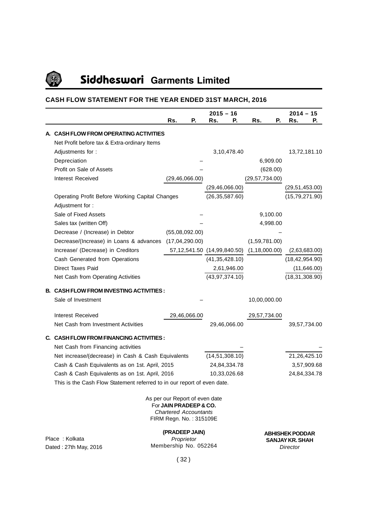### **CASH FLOW STATEMENT FOR THE YEAR ENDED 31ST MARCH, 2016**

|                                                                                         |     |                                                          | $2015 - 16$                 |             |                  |    | $2014 - 15$            |              |
|-----------------------------------------------------------------------------------------|-----|----------------------------------------------------------|-----------------------------|-------------|------------------|----|------------------------|--------------|
|                                                                                         | Rs. | Р.                                                       | Rs.                         | Р.          | Rs.              | Р. | Rs.                    | Р.           |
| A. CASH FLOW FROM OPERATING ACTIVITIES                                                  |     |                                                          |                             |             |                  |    |                        |              |
| Net Profit before tax & Extra-ordinary Items                                            |     |                                                          |                             |             |                  |    |                        |              |
| Adjustments for :                                                                       |     |                                                          |                             | 3,10,478.40 |                  |    | 13,72,181.10           |              |
| Depreciation                                                                            |     |                                                          |                             |             | 6,909.00         |    |                        |              |
| Profit on Sale of Assets                                                                |     |                                                          |                             |             | (628.00)         |    |                        |              |
| Interest Received                                                                       |     | (29, 46, 066.00)                                         |                             |             | (29, 57, 734.00) |    |                        |              |
|                                                                                         |     |                                                          | (29, 46, 066.00)            |             |                  |    | (29,51,453.00)         |              |
| <b>Operating Profit Before Working Capital Changes</b>                                  |     |                                                          | (26, 35, 587.60)            |             |                  |    | (15, 79, 271.90)       |              |
| Adjustment for:                                                                         |     |                                                          |                             |             |                  |    |                        |              |
| Sale of Fixed Assets                                                                    |     |                                                          |                             |             | 9,100.00         |    |                        |              |
| Sales tax (written Off)                                                                 |     |                                                          |                             |             | 4,998.00         |    |                        |              |
| Decrease / (Increase) in Debtor                                                         |     | (55,08,092.00)                                           |                             |             |                  |    |                        |              |
| Decrease/(Increase) in Loans & advances                                                 |     | (17,04,290.00)                                           |                             |             | (1,59,781.00)    |    |                        |              |
| Increase/ (Decrease) in Creditors                                                       |     |                                                          | 57,12,541.50 (14,99,840.50) |             | (1, 18, 000.00)  |    | (2,63,683.00)          |              |
| Cash Generated from Operations                                                          |     |                                                          | (41, 35, 428.10)            |             |                  |    | (18, 42, 954.90)       |              |
| <b>Direct Taxes Paid</b>                                                                |     |                                                          |                             | 2,61,946.00 |                  |    |                        | (11, 646.00) |
| Net Cash from Operating Activities                                                      |     |                                                          | (43, 97, 374.10)            |             |                  |    | (18, 31, 308.90)       |              |
| <b>B. CASH FLOW FROM INVESTING ACTIVITIES:</b>                                          |     |                                                          |                             |             |                  |    |                        |              |
| Sale of Investment                                                                      |     |                                                          |                             |             | 10,00,000.00     |    |                        |              |
| Interest Received                                                                       |     | 29,46,066.00                                             |                             |             | 29,57,734.00     |    |                        |              |
| Net Cash from Investment Activities                                                     |     |                                                          | 29,46,066.00                |             |                  |    | 39,57,734.00           |              |
| C. CASH FLOW FROM FINANCING ACTIVITIES:                                                 |     |                                                          |                             |             |                  |    |                        |              |
| Net Cash from Financing activities                                                      |     |                                                          |                             |             |                  |    |                        |              |
| Net increase/(decrease) in Cash & Cash Equivalents                                      |     |                                                          | (14, 51, 308.10)            |             |                  |    | 21,26,425.10           |              |
| Cash & Cash Equivalents as on 1st. April, 2015                                          |     |                                                          | 24,84,334.78                |             |                  |    | 3,57,909.68            |              |
| Cash & Cash Equivalents as on 1st. April, 2016                                          |     |                                                          |                             |             |                  |    | 24,84,334.78           |              |
| 10,33,026.68<br>This is the Cash Flow Statement referred to in our report of even date. |     |                                                          |                             |             |                  |    |                        |              |
|                                                                                         |     |                                                          |                             |             |                  |    |                        |              |
|                                                                                         |     | As per our Report of even date<br>For JAIN PRADEEP & CO. |                             |             |                  |    |                        |              |
|                                                                                         |     | <b>Chartered Accountants</b>                             |                             |             |                  |    |                        |              |
|                                                                                         |     | FIRM Regn. No.: 315109E                                  |                             |             |                  |    |                        |              |
|                                                                                         |     | (PRADEEP JAIN)                                           |                             |             |                  |    | <b>ABHISHEK PODDAR</b> |              |
| Place: Kolkata                                                                          |     | Proprietor<br>Membership No. 052264                      |                             |             |                  |    | <b>SANJAY KR. SHAH</b> |              |
| Dated: 27th May, 2016                                                                   |     |                                                          |                             |             |                  |    | Director               |              |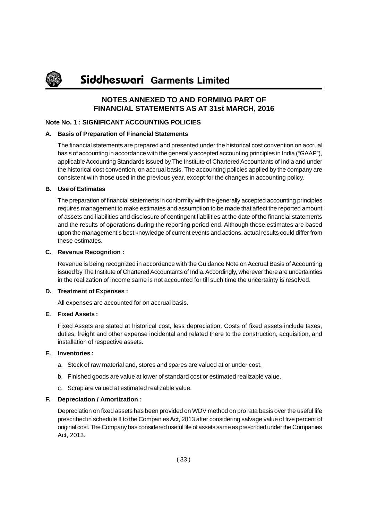

# **A. Basis of Preparation of Financial Statements<br>A. Basis of Preparation of Financial Statements<br>The financial statements are prepared and presented under NOTES ANNEXED TO AND FORMING PART OF FINANCIAL STATEMENTS AS AT 31st MARCH, 2016**

### **Note No. 1 : SIGNIFICANT ACCOUNTING POLICIES**

The financial statements are prepared and presented under the historical cost convention on accrual basis of accounting in accordance with the generally accepted accounting principles in India ("GAAP"), applicable Accounting Standards issued by The Institute of Chartered Accountants of India and under the historical cost convention, on accrual basis. The accounting policies applied by the company are consistent with those used in the previous year, except for the changes in accounting policy. Exasts of accounting in accomplicable<br>
applicable Accounting Stand<br>
the historical cost conventid<br>
consistent with those used<br> **B.** Use of Estimates<br>
The preparation of financial

The preparation of financial statements in conformity with the generally accepted accounting principles requires management to make estimates and assumption to be made that affect the reported amount of assets and liabilities and disclosure of contingent liabilities at the date of the financial statements and the results of operations during the reporting period end. Although these estimates are based upon the management's best knowledge of current events and actions, actual results could differ from these estimates. For assets and nabilities and distant and the results of operations comport the management's best kinese estimates.<br> **C. Revenue Recognition :**<br>
Revenue is being recognized in

Revenue is being recognized in accordance with the Guidance Note on Accrual Basis of Accounting issued by The Institute of Chartered Accountants of India. Accordingly, wherever there are uncertainties in the realization of income same is not accounted for till such time the uncertainty is resolved. Revenue is being recognized in<br>issued by The Institute of Charter<br>in the realization of income sam<br>**D.** Treatment of Expenses :<br>All expenses are accounted for

All expenses are accounted for on accrual basis. **D.** Treatment of Expenses :<br>All expenses are accounte<br>**E.** Fixed Assets :

Fixed Assets are stated at historical cost, less depreciation. Costs of fixed assets include taxes, duties, freight and other expense incidental and related there to the construction, acquisition, and installation of respective assets. Fixed Assets are s<br>duties, freight and<br>installation of respe<br>**E. Inventories :**<br>a. Stock of raw ma duties, freight and other expense incidental and related there to the construction<br>installation of respective assets.<br>**Inventories :**<br>a. Stock of raw material and, stores and spares are valued at or under cost.<br>b. Finished

- **Inventories :**<br>a. Stock of raw material and, stores and spares are value.<br>b. Finished goods are value at lower of standard cost of<br>c. Scrap are valued at estimated realizable value.<br>**Depreciation / Amortization :**
- installation of respective assets.<br>**Inventories :**<br>a. Stock of raw material and, stores and spares are valued at or under cost.<br>b. Finished goods are value at lower of standard cost or estimated realizable value.<br>c. Scrap
- 

**F. B. Stock of raw material and, stores**<br>**b. Finished goods are value at lower**<br>**F. Depreciation / Amortization :**<br>Depreciation on fixed assets has been Depreciation on fixed assets has been provided on WDV method on pro rata basis over the useful life prescribed in schedule II to the Companies Act, 2013 after considering salvage value of five percent of original cost. The Company has considered useful life of assets same as prescribed under the Companies Act, 2013.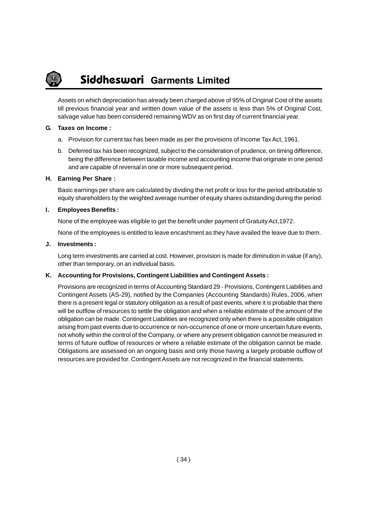Assets on which depreciation has already been charged above of 95% of Original Cost of the assets till previous financial year and written down value of the assets is less than 5% of Original Cost, salvage value has been considered remaining WDV as on first day of current financial year. Assets on which deprecia<br>
till previous financial year<br>
salvage value has been co<br> **G.** Taxes on Income :<br>
a. Provision for current to till previous financial year and written down value of the assets is less than 5% of Original C<br>salvage value has been considered remaining WDV as on first day of current financial year.<br>Taxes on Income :<br>a. Provision for

- 
- salvage value has been considered remaining WDV as on first day of current financial year.<br> **Taxes on Income :**<br>
a. Provision for current tax has been made as per the provisions of Income Tax Act, 1961.<br>
b. Deferred tax ha being the difference between taxable income and accounting income that originate in one period and are capable of reversal in one or more subsequent period. **H.** Deferred tax has been r<br>being the difference bet<br>and are capable of reve<br>**H.** Earning Per Share :<br>Basic earnings per share an

Basic earnings per share are calculated by dividing the net profit or loss for the period attributable to equity shareholders by the weighted average number of equity shares outstanding during the period. **I. Earning Per Share :**<br>Basic earnings per share are<br>equity shareholders by the w<br>**I. Employees Benefits :**<br>None of the employee was e

None of the employee was eligible to get the benefit under payment of Gratuity Act,1972.

None of the employees is entitled to leave encashment as they have availed the leave due to them.

**I. Employees Beneriff**<br>
None of the employe<br> **J. Investments :**<br>
Long term investments Long term investments are carried at cost. However, provision is made for diminution in value (if any), other than temporary, on an individual basis. **K. Accounting for Provisions, Contingent Liabilities and Contingent Assets :<br>
Frovisions are recognized in terms of Accounting Standard 29 - Provisions, Contingent Liabilities and<br>
Provisions are recognized in terms of Ac** 

Contingent Assets (AS-29), notified by the Companies (Accounting Standards) Rules, 2006, when there is a present legal or statutory obligation as a result of past events, where it is probable that there will be outflow of resources to settle the obligation and when a reliable estimate of the amount of the obligation can be made. Contingent Liabilities are recognized only when there is a possible obligation arising from past events due to occurrence or non-occurrence of one or more uncertain future events, not wholly within the control of the Company, or where any present obligation cannot be measured in terms of future outflow of resources or where a reliable estimate of the obligation cannot be made. Obligations are assessed on an ongoing basis and only those having a largely probable outflow of resources are provided for. Contingent Assets are not recognized in the financial statements.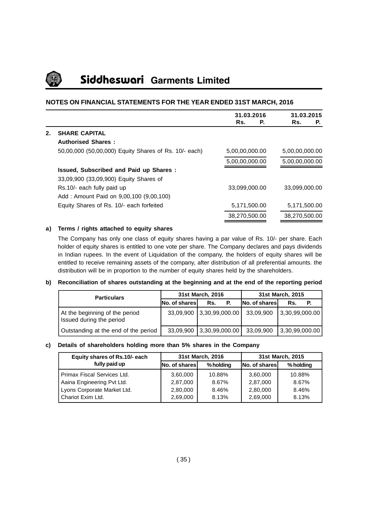|    |                                                                                                | 31.03.2016     | 31.03.2015     |  |
|----|------------------------------------------------------------------------------------------------|----------------|----------------|--|
|    |                                                                                                | Rs.<br>Р.      | Rs.<br>Р.      |  |
| 2. | <b>SHARE CAPITAL</b>                                                                           |                |                |  |
|    | <b>Authorised Shares:</b>                                                                      |                |                |  |
|    | 50,00,000 (50,00,000) Equity Shares of Rs. 10/- each)                                          | 5,00,00,000.00 | 5,00,00,000.00 |  |
|    |                                                                                                | 5,00,00,000.00 | 5,00,00,000.00 |  |
|    | Issued, Subscribed and Paid up Shares:                                                         |                |                |  |
|    | 33,09,900 (33,09,900) Equity Shares of                                                         |                |                |  |
|    | Rs.10/- each fully paid up                                                                     | 33,099,000.00  | 33,099,000.00  |  |
|    | Add: Amount Paid on 9,00,100 (9,00,100)                                                        |                |                |  |
|    | Equity Shares of Rs. 10/- each forfeited                                                       | 5,171,500.00   | 5,171,500.00   |  |
|    |                                                                                                | 38,270,500.00  | 38,270,500.00  |  |
| a) | Terms / rights attached to equity shares                                                       |                |                |  |
|    | The Company has only one class of equity shares having a par value of Rs. 10/- per share. Each |                |                |  |
|    |                                                                                                |                |                |  |

holder of equity shares is entitled to one vote per share. The Company declares and pays dividends in Indian rupees. In the event of Liquidation of the company, the holders of equity shares will be entitled to receive remaining assets of the company, after distribution of all preferential amounts. the distribution will be in proportion to the number of equity shares held by the shareholders. In Indian rupees. In the event of Liquidation of the company, the holders of equity shares will be entitled to receive remaining assets of the company, after distribution of all preferential amounts. the distribution will

| <b>Particulars</b>                                         |               | 31st March, 2016 |               | 31st March, 2015 |
|------------------------------------------------------------|---------------|------------------|---------------|------------------|
|                                                            | No. of shares | Р.<br>Rs.        | No. of shares | Rs.<br>Р.        |
| At the beginning of the period<br>Issued during the period | 33.09.900     | 3,30,99,000.00   | 33.09.900     | 3,30,99,000.00   |
| Outstanding at the end of the period                       | 33,09,900     | 3,30,99,000.00   | 33,09,900     | 3,30,99,000.00   |

| Outstanding at the end of the period                               | 33,09,900     | 3,30,99,000.00   | 33,09,900        | 3,30,99,000.00 |  |  |  |  |
|--------------------------------------------------------------------|---------------|------------------|------------------|----------------|--|--|--|--|
| Details of shareholders holding more than 5% shares in the Company |               |                  |                  |                |  |  |  |  |
| Equity shares of Rs.10/- each                                      |               | 31st March, 2016 | 31st March, 2015 |                |  |  |  |  |
| fully paid up                                                      | No. of shares | % holding        | No. of shares    | % holding      |  |  |  |  |
| Primax Fiscal Services Ltd.                                        | 3,60,000      | 10.88%           | 3,60,000         | 10.88%         |  |  |  |  |
| Aaina Engineering Pvt Ltd.                                         | 2,87,000      | 8.67%            | 2,87,000         | 8.67%          |  |  |  |  |
| Lyons Corporate Market Ltd.                                        | 2,80,000      | 8.46%            | 2,80,000         | 8.46%          |  |  |  |  |
| Chariot Exim Ltd.                                                  | 2,69,000      | 8.13%            | 2,69,000         | 8.13%          |  |  |  |  |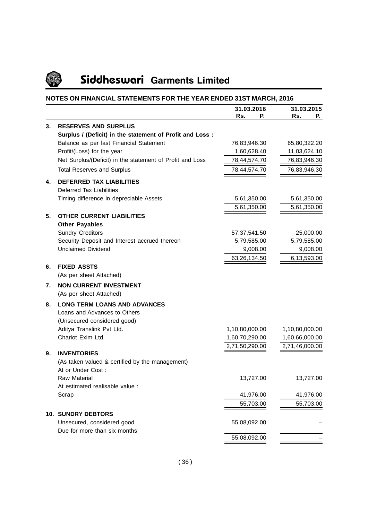|    |                                                           | 31.03.2016     | 31.03.2015     |
|----|-----------------------------------------------------------|----------------|----------------|
|    |                                                           | Rs.<br>Р.      | Rs.<br>Р.      |
| 3. | <b>RESERVES AND SURPLUS</b>                               |                |                |
|    | Surplus / (Deficit) in the statement of Profit and Loss : |                |                |
|    | Balance as per last Financial Statement                   | 76,83,946.30   | 65,80,322.20   |
|    | Profit/(Loss) for the year                                | 1,60,628.40    | 11,03,624.10   |
|    | Net Surplus/(Deficit) in the statement of Profit and Loss | 78,44,574.70   | 76,83,946.30   |
|    | <b>Total Reserves and Surplus</b>                         | 78,44,574.70   | 76,83,946.30   |
| 4. | <b>DEFERRED TAX LIABILITIES</b>                           |                |                |
|    | <b>Deferred Tax Liabilities</b>                           |                |                |
|    | Timing difference in depreciable Assets                   | 5,61,350.00    | 5,61,350.00    |
|    |                                                           | 5,61,350.00    | 5,61,350.00    |
| 5. | <b>OTHER CURRENT LIABILITIES</b>                          |                |                |
|    | <b>Other Payables</b>                                     |                |                |
|    | <b>Sundry Creditors</b>                                   | 57, 37, 541.50 | 25,000.00      |
|    | Security Deposit and Interest accrued thereon             | 5,79,585.00    | 5,79,585.00    |
|    | <b>Unclaimed Dividend</b>                                 | 9,008.00       | 9,008.00       |
|    |                                                           | 63,26,134.50   | 6,13,593.00    |
| 6. | <b>FIXED ASSTS</b>                                        |                |                |
|    | (As per sheet Attached)                                   |                |                |
| 7. | <b>NON CURRENT INVESTMENT</b>                             |                |                |
|    | (As per sheet Attached)                                   |                |                |
| 8. | <b>LONG TERM LOANS AND ADVANCES</b>                       |                |                |
|    | Loans and Advances to Others                              |                |                |
|    | (Unsecured considered good)                               |                |                |
|    | Aditya Translink Pvt Ltd.                                 | 1,10,80,000.00 | 1,10,80,000.00 |
|    | Chariot Exim Ltd.                                         | 1,60,70,290.00 | 1,60,66,000.00 |
|    |                                                           | 2,71,50,290.00 | 2,71,46,000.00 |
| 9. | <b>INVENTORIES</b>                                        |                |                |
|    | (As taken valued & certified by the management)           |                |                |
|    | At or Under Cost:                                         |                |                |
|    | <b>Raw Material</b>                                       | 13,727.00      | 13,727.00      |
|    | At estimated realisable value:                            |                |                |
|    | Scrap                                                     | 41,976.00      | 41,976.00      |
|    |                                                           | 55,703.00      | 55,703.00      |
|    | <b>10. SUNDRY DEBTORS</b>                                 |                |                |
|    | Unsecured, considered good                                | 55,08,092.00   |                |
|    | Due for more than six months                              | 55,08,092.00   |                |
|    |                                                           |                |                |

### **NOTES ON FINANCIAL STATEMENTS FOR THE YEAR ENDED 31ST MARCH, 2016**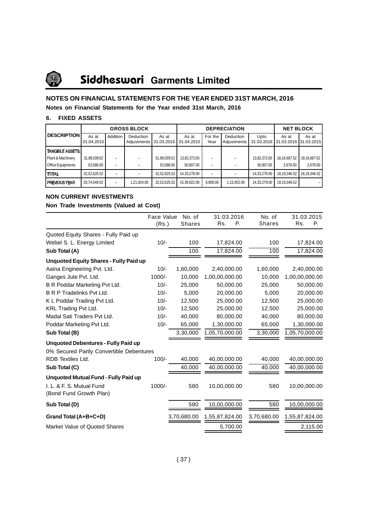

# **NOTES ON FINANCIAL STATEMENTS FOR THE YEAR ENDED 31ST MARCH, 2016 Notes on Financial Statements for the Year ended 31st March, 2016 NOTES ON FINANCIAL STATES ON FINANCIAL STATES**<br> **6. FIXED ASSETS**<br> **6. FIXED ASSETS**

|                          |                     |          | <b>GROSS BLOCK</b>                         |              | <b>DEPRECIATION</b> |                 |                                 | <b>NET BLOCK</b>   |                                |              |
|--------------------------|---------------------|----------|--------------------------------------------|--------------|---------------------|-----------------|---------------------------------|--------------------|--------------------------------|--------------|
| <b>DESCRIPTION</b>       | As at<br>01.04.2015 | Addition | <b>Deduction</b><br>Adjustments 31.03.2016 | As at        | As at<br>01.04.2015 | For the<br>Year | <b>Deduction</b><br>Adjustments | Upto<br>31.03.2016 | As at<br>31.03.2016 31.03.2015 | As at        |
| <b>TANGIBLE ASSETS:</b>  |                     |          |                                            |              |                     |                 |                                 |                    |                                |              |
| Plant & Machinery        | 31,99,039.52        | -        |                                            | 31,99,039.52 | 13.82.372.00        | -               |                                 | 13.82.372.00       | 18, 16, 667.52                 | 18,16,667.52 |
| <b>Office Equipments</b> | 53,586.00           | -        |                                            | 53,586.00    | 50.907.00           | -               |                                 | 50.907.00          | 2.679.00                       | 2.679.00     |
| <b>TOTAL</b>             | 32.52.625.52        | -        |                                            | 32.52.625.52 | 14.33.279.00        | -               |                                 | 14.33.279.00       | 18.19.346.52                   | 18,19,346.52 |
| I PREVIOUS YEAR          | 33,74,549.52        | -        | 1,21,924.00                                | 32.52.625.52 | 15.39.822.00        | 6.909.00        | 1.13.452.00                     | 14.33.279.00       | 18,19,346.52                   | -            |

#### **NON CURRENT INVESTMENTS**

**Non Trade Investments (Valued at Cost)**

|                                                      | Face Value | No. of        | 31.03.2016     | No. of        | 31.03.2015     |
|------------------------------------------------------|------------|---------------|----------------|---------------|----------------|
|                                                      | (Rs.)      | <b>Shares</b> | Rs.<br>Р.      | <b>Shares</b> | Rs.<br>Р.      |
| Quoted Equity Shares - Fully Paid up                 |            |               |                |               |                |
| Webel S. L. Energy Limited                           | $10/-$     | 100           | 17,824.00      | 100           | 17,824.00      |
| Sub Total (A)                                        |            | 100           | 17,824.00      | 100           | 17,824.00      |
| <b>Unquoted Equity Shares - Fully Paid up</b>        |            |               |                |               |                |
| Aaina Engineering Pvt. Ltd.                          | $10/-$     | 1,60,000      | 2.40.000.00    | 1,60,000      | 2,40,000.00    |
| Ganges Jute Pvt. Ltd.                                | $1000/-$   | 10,000        | 1,00,00,000.00 | 10,000        | 1,00,00,000.00 |
| B R Poddar Marketing Pvt Ltd.                        | $10/-$     | 25.000        | 50,000.00      | 25.000        | 50,000.00      |
| <b>B R P Tradelinks Pvt Ltd.</b>                     | $10/-$     | 5,000         | 20,000.00      | 5,000         | 20,000.00      |
| K L Poddar Trading Pvt Ltd.                          | $10/-$     | 12,500        | 25,000.00      | 12.500        | 25,000.00      |
| KRL Trading Pvt Ltd.                                 | $10/-$     | 12,500        | 25,000.00      | 12,500        | 25,000.00      |
| Madal Sati Traders Pvt Ltd.                          | $10/-$     | 40,000        | 80,000.00      | 40,000        | 80,000.00      |
| Poddar Marketing Pvt Ltd.                            | $10/-$     | 65,000        | 1,30,000.00    | 65,000        | 1,30,000.00    |
| Sub Total (B)                                        |            | 3,30,000      | 1,05,70,000.00 | 3,30,000      | 1,05,70,000.00 |
| <b>Unquoted Debentures - Fully Paid up</b>           |            |               |                |               |                |
| 0% Secured Partly Convertible Debentures             |            |               |                |               |                |
| <b>RDB Textiles Ltd.</b>                             | $100/-$    | 40,000        | 40,00,000.00   | 40,000        | 40,00,000.00   |
| Sub Total (C)                                        |            | 40,000        | 40,00,000.00   | 40,000        | 40,00,000.00   |
| <b>Unquoted Mutual Fund - Fully Paid up</b>          |            |               |                |               |                |
| I. L. & F. S. Mutual Fund<br>(Bond Fund Growth Plan) | $1000/-$   | 580           | 10,00,000.00   | 580           | 10,00,000.00   |
| Sub Total (D)                                        |            | 580           | 10,00,000.00   | 580           | 10,00,000.00   |
| Grand Total (A+B+C+D)                                |            | 3,70,680.00   | 1,55,87,824.00 | 3,70,680.00   | 1,55,87,824.00 |
| Market Value of Quoted Shares                        |            |               | 5,700.00       |               | 2,115.00       |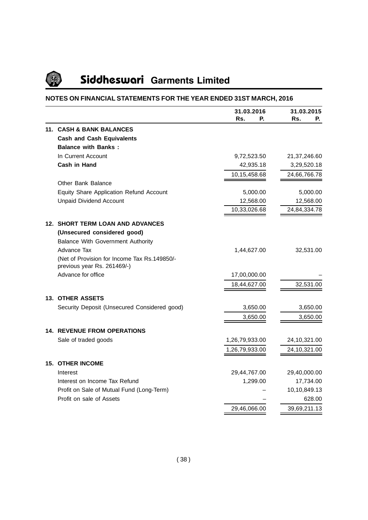**4** 

|                                                                             | 31.03.2016     | 31.03.2015   |
|-----------------------------------------------------------------------------|----------------|--------------|
|                                                                             | Р.<br>Rs.      | Rs.<br>Р.    |
| 11. CASH & BANK BALANCES                                                    |                |              |
| <b>Cash and Cash Equivalents</b>                                            |                |              |
| <b>Balance with Banks:</b>                                                  |                |              |
| In Current Account                                                          | 9,72,523.50    | 21,37,246.60 |
| Cash in Hand                                                                | 42,935.18      | 3,29,520.18  |
|                                                                             | 10,15,458.68   | 24,66,766.78 |
| Other Bank Balance                                                          |                |              |
| Equity Share Application Refund Account                                     | 5,000.00       | 5,000.00     |
| <b>Unpaid Dividend Account</b>                                              | 12,568.00      | 12,568.00    |
|                                                                             | 10,33,026.68   | 24,84,334.78 |
| <b>12. SHORT TERM LOAN AND ADVANCES</b>                                     |                |              |
| (Unsecured considered good)                                                 |                |              |
| <b>Balance With Government Authority</b>                                    |                |              |
| <b>Advance Tax</b>                                                          | 1,44,627.00    | 32,531.00    |
| (Net of Provision for Income Tax Rs.149850/-<br>previous year Rs. 261469/-) |                |              |
| Advance for office                                                          | 17,00,000.00   |              |
|                                                                             | 18,44,627.00   | 32,531.00    |
| <b>13. OTHER ASSETS</b>                                                     |                |              |
| Security Deposit (Unsecured Considered good)                                | 3,650.00       | 3,650.00     |
|                                                                             | 3,650.00       | 3,650.00     |
|                                                                             |                |              |
| <b>14. REVENUE FROM OPERATIONS</b>                                          |                |              |
| Sale of traded goods                                                        | 1,26,79,933.00 | 24,10,321.00 |
|                                                                             | 1,26,79,933.00 | 24,10,321.00 |
| <b>15. OTHER INCOME</b>                                                     |                |              |
| Interest                                                                    | 29,44,767.00   | 29,40,000.00 |
| Interest on Income Tax Refund                                               | 1,299.00       | 17,734.00    |
| Profit on Sale of Mutual Fund (Long-Term)                                   |                | 10,10,849.13 |
| Profit on sale of Assets                                                    |                | 628.00       |
|                                                                             | 29,46,066.00   | 39,69,211.13 |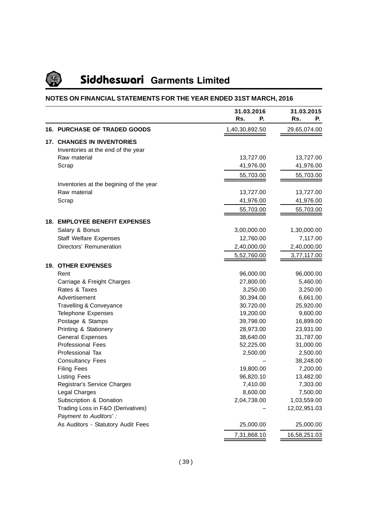|                                                            | 31.03.2016<br>Rs.<br>Р. | 31.03.2015<br>Rs.<br>Р. |
|------------------------------------------------------------|-------------------------|-------------------------|
| 16. PURCHASE OF TRADED GOODS                               | 1,40,30,892.50          | 29,65,074.00            |
| <b>17. CHANGES IN INVENTORIES</b>                          |                         |                         |
| Inventories at the end of the year                         |                         |                         |
| Raw material                                               | 13,727.00               | 13,727.00               |
| Scrap                                                      | 41,976.00               | 41,976.00               |
|                                                            | 55,703.00               | 55,703.00               |
| Inventories at the begining of the year                    |                         |                         |
| Raw material                                               | 13,727.00               | 13,727.00               |
| Scrap                                                      | 41,976.00               | 41,976.00               |
|                                                            | 55,703.00               | 55,703.00               |
| <b>18. EMPLOYEE BENEFIT EXPENSES</b>                       |                         |                         |
| Salary & Bonus                                             | 3,00,000.00             | 1,30,000.00             |
| <b>Staff Welfare Expenses</b>                              | 12,760.00               | 7,117.00                |
| Directors' Remuneration                                    | 2,40,000.00             | 2,40,000.00             |
|                                                            | 5,52,760.00             | 3,77,117.00             |
| <b>19. OTHER EXPENSES</b>                                  |                         |                         |
| Rent                                                       | 96,000.00               | 96,000.00               |
| Carriage & Freight Charges                                 | 27,800.00               | 5,460.00                |
| Rates & Taxes                                              | 3,250.00                | 3,250.00                |
| Advertisement                                              | 30,394.00               | 6,661.00                |
| Travelling & Conveyance                                    | 30,720.00               | 25,920.00               |
| <b>Telephone Expenses</b>                                  | 19,200.00               | 9,600.00                |
| Postage & Stamps                                           | 39,798.00               | 16,899.00               |
| Printing & Stationery                                      | 28,973.00               | 23,931.00               |
| <b>General Expenses</b>                                    | 38,640.00               | 31,787.00               |
| <b>Professional Fees</b>                                   | 52,225.00               | 31,000.00               |
| Professional Tax                                           | 2,500.00                | 2,500.00                |
| <b>Consultancy Fees</b>                                    |                         | 38,248.00               |
| <b>Filing Fees</b>                                         | 19,800.00               | 7,200.00                |
| <b>Listing Fees</b>                                        | 96,820.10               | 13,482.00               |
| Registrar's Service Charges                                | 7,410.00                | 7,303.00                |
| Legal Charges                                              | 8,600.00                | 7,500.00                |
| Subscription & Donation                                    | 2,04,738.00             | 1,03,559.00             |
| Trading Loss in F&O (Derivatives)<br>Payment to Auditors': |                         | 12,02,951.03            |
| As Auditors - Statutory Audit Fees                         | 25,000.00               | 25,000.00               |
|                                                            | 7,31,868.10             | 16,58,251.03            |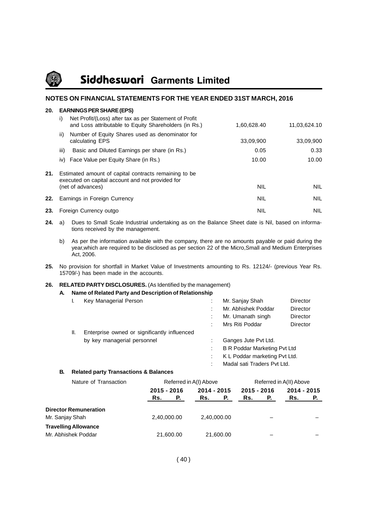### **NOTES ON FINANCIAL STATEMENTS FOR THE YEAR ENDED 31ST MARCH, 2016**

| WY.                                                               |      | <b>Siddneswari</b> Garments Limited                                                                                                    |             |              |  |
|-------------------------------------------------------------------|------|----------------------------------------------------------------------------------------------------------------------------------------|-------------|--------------|--|
| NOTES ON FINANCIAL STATEMENTS FOR THE YEAR ENDED 31ST MARCH, 2016 |      |                                                                                                                                        |             |              |  |
| 20.                                                               |      | <b>EARNINGS PER SHARE (EPS)</b>                                                                                                        |             |              |  |
|                                                                   | i)   | Net Profit/(Loss) after tax as per Statement of Profit<br>and Loss attributable to Equity Shareholders (in Rs.)                        | 1,60,628.40 | 11,03,624.10 |  |
|                                                                   | ii)  | Number of Equity Shares used as denominator for<br>calculating EPS                                                                     | 33,09,900   | 33,09,900    |  |
|                                                                   | iii) | Basic and Diluted Earnings per share (in Rs.)                                                                                          | 0.05        | 0.33         |  |
|                                                                   |      | iv) Face Value per Equity Share (in Rs.)                                                                                               | 10.00       | 10.00        |  |
| 21.                                                               |      | Estimated amount of capital contracts remaining to be<br>executed on capital account and not provided for<br>(net of advances)         | <b>NIL</b>  | <b>NIL</b>   |  |
| 22.                                                               |      | Earnings in Foreign Currency                                                                                                           | <b>NIL</b>  | <b>NIL</b>   |  |
| 23.                                                               |      | Foreign Currency outgo                                                                                                                 | <b>NIL</b>  | <b>NIL</b>   |  |
| 24.                                                               | a)   | Dues to Small Scale Industrial undertaking as on the Balance Sheet date is Nil, based on informa-<br>tions received by the management. |             |              |  |
|                                                                   |      |                                                                                                                                        |             |              |  |

tions received by the management.

- Foreign Currency outgo<br>
a) Dues to Small Scale Industrial undertaking as on the Balance Sheet date is Nil, based on informa-<br>
tions received by the management.<br>
b) As per the information available with the company, there a year,which are required to be disclosed as per section 22 of the Micro,Small and Medium Enterprises Act, 2006.
- **25.** No provision for shortfall in Market Value of Investments amounting to Rs. 12124/- (previous Year Rs. 15709/-) has been made in the accounts. Act, 2006.<br> **25.** No provision for shortfall in Market Value of Investments amounting to F<br>
15709/-) has been made in the accounts.<br> **26.** RELATED PARTY DISCLOSURES. (As Identified by the management)<br> **A.** Name of Related No provision for shortfall in Market Value of Investments amounting to<br>15709/-) has been made in the accounts.<br>**RELATED PARTY DISCLOSURES.** (As Identified by the management)<br>**A. Name of Related Party and Description of Rel**

|     | $\cdots$ . The contract is a contract that also a contract the contract of the second second second second second second second second second second second second second second second second second second second second secon<br>09/-) has been made in the accounts. |                                     |          |
|-----|--------------------------------------------------------------------------------------------------------------------------------------------------------------------------------------------------------------------------------------------------------------------------|-------------------------------------|----------|
|     | <b>ATED PARTY DISCLOSURES.</b> (As Identified by the management)                                                                                                                                                                                                         |                                     |          |
|     | Name of Related Party and Description of Relationship                                                                                                                                                                                                                    |                                     |          |
| I.  | Key Managerial Person                                                                                                                                                                                                                                                    | Mr. Sanjay Shah                     | Director |
|     |                                                                                                                                                                                                                                                                          | Mr. Abhishek Poddar                 | Director |
|     |                                                                                                                                                                                                                                                                          | Mr. Umanath singh                   | Director |
|     |                                                                                                                                                                                                                                                                          | Mrs Riti Poddar                     | Director |
| II. | Enterprise owned or significantly influenced                                                                                                                                                                                                                             |                                     |          |
|     | by key managerial personnel                                                                                                                                                                                                                                              | Ganges Jute Pvt Ltd.                |          |
|     |                                                                                                                                                                                                                                                                          | <b>B R Poddar Marketing Pvt Ltd</b> |          |
|     |                                                                                                                                                                                                                                                                          | K L Poddar marketing Pvt Ltd.       |          |
|     |                                                                                                                                                                                                                                                                          | Madal sati Traders Pyt Ltd.         |          |
|     | <b>Related party Transactions &amp; Balances</b>                                                                                                                                                                                                                         |                                     |          |

#### **B. Related party Transactions & Balances**

| Nature of Transaction        |               | Referred in A(I) Above | Referred in A(II) Above |             |  |
|------------------------------|---------------|------------------------|-------------------------|-------------|--|
|                              | $2015 - 2016$ | 2014 - 2015            | 2015 - 2016             | 2014 - 2015 |  |
|                              | Rs.<br>Р.     | Р.<br>Rs.              | Rs.<br>Р.               | Р.<br>Rs.   |  |
| <b>Director Remuneration</b> |               |                        |                         |             |  |
| Mr. Sanjay Shah              | 2,40,000.00   | 2,40,000.00            |                         |             |  |
| <b>Travelling Allowance</b>  |               |                        |                         |             |  |
| Mr. Abhishek Poddar          | 21,600.00     | 21,600.00              |                         |             |  |
|                              |               |                        |                         |             |  |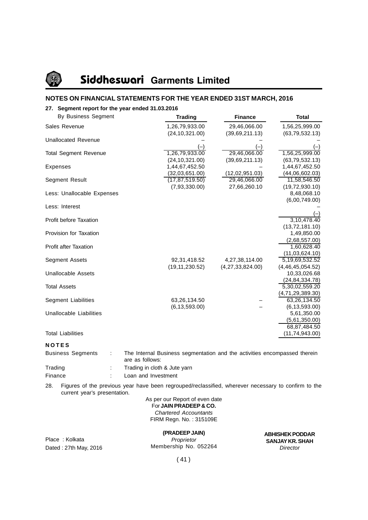

#### **NOTES ON FINANCIAL STATEMENTS FOR THE YEAR ENDED 31ST MARCH, 2016**

|                                                  | Siddheswari | <b>Garments Limited</b>                                                                      |                                       |                                    |
|--------------------------------------------------|-------------|----------------------------------------------------------------------------------------------|---------------------------------------|------------------------------------|
|                                                  |             | NOTES ON FINANCIAL STATEMENTS FOR THE YEAR ENDED 31ST MARCH, 2016                            |                                       |                                    |
| 27. Segment report for the year ended 31.03.2016 |             |                                                                                              |                                       |                                    |
| By Business Segment                              |             | <b>Trading</b>                                                                               | <b>Finance</b>                        | <b>Total</b>                       |
| Sales Revenue                                    |             | 1,26,79,933.00                                                                               | 29,46,066.00                          | 1,56,25,999.00                     |
| <b>Unallocated Revenue</b>                       |             | (24, 10, 321.00)                                                                             | (39,69,211.13)                        | (63,79,532.13)                     |
|                                                  |             |                                                                                              |                                       |                                    |
| <b>Total Segment Revenue</b>                     |             | 1.26.79.933.00                                                                               | 29,46,066.00                          | 1,56,25,999.00                     |
|                                                  |             | (24, 10, 321.00)                                                                             | (39,69,211.13)                        | (63,79,532.13)                     |
| Expenses                                         |             | 1,44,67,452.50                                                                               |                                       | 1,44,67,452.50                     |
|                                                  |             | (32,03,651.00)                                                                               | (12,02,951.03)<br>29,46,066.00        | (44,06,602.03)                     |
| Segment Result                                   |             | (17, 87, 519.50)<br>(7,93,330.00)                                                            | 27,66,260.10                          | 11,58,546.50<br>(19, 72, 930.10)   |
| Less: Unallocable Expenses                       |             |                                                                                              |                                       | 8,48,068.10                        |
|                                                  |             |                                                                                              |                                       | (6,00,749.00)                      |
| Less: Interest                                   |             |                                                                                              |                                       |                                    |
| <b>Profit before Taxation</b>                    |             |                                                                                              |                                       | 3,10,478.40                        |
|                                                  |             |                                                                                              |                                       | (13, 72, 181.10)                   |
| Provision for Taxation                           |             |                                                                                              |                                       | 1,49,850.00                        |
|                                                  |             |                                                                                              |                                       | (2,68,557.00)                      |
| <b>Profit after Taxation</b>                     |             |                                                                                              |                                       | 1,60,628.40                        |
|                                                  |             |                                                                                              |                                       | (11, 03, 624.10)                   |
| Segment Assets                                   |             | 92,31,418.52<br>(19, 11, 230.52)                                                             | 4,27,38,114.00<br>(4, 27, 33, 824.00) | 5,19,69,532.52<br>(4,46,45,054.52) |
| <b>Unallocable Assets</b>                        |             |                                                                                              |                                       | 10,33,026.68                       |
|                                                  |             |                                                                                              |                                       | (24, 84, 334.78)                   |
| <b>Total Assets</b>                              |             |                                                                                              |                                       | 5,30,02,559.20                     |
|                                                  |             |                                                                                              |                                       | (4,71,29,389.30)                   |
| <b>Segment Liabilities</b>                       |             | 63,26,134.50<br>(6, 13, 593.00)                                                              |                                       | 63,26,134.50<br>(6, 13, 593.00)    |
| <b>Unallocable Liabilities</b>                   |             |                                                                                              |                                       | 5,61,350.00                        |
|                                                  |             |                                                                                              |                                       | (5,61,350.00)                      |
|                                                  |             |                                                                                              |                                       | 68,87,484.50                       |
| <b>Total Liabilities</b>                         |             |                                                                                              |                                       | (11, 74, 943.00)                   |
| <b>NOTES</b>                                     |             |                                                                                              |                                       |                                    |
| <b>Business Segments</b>                         | t,          | The Internal Business segmentation and the activities encompassed therein<br>are as follows: |                                       |                                    |
| Trading                                          |             | Trading in cloth & Jute yarn                                                                 |                                       |                                    |
| Finance                                          |             | Loan and Investment                                                                          |                                       |                                    |
|                                                  |             |                                                                                              |                                       |                                    |

| <b>NOTES</b>                        |                                                                                                     |
|-------------------------------------|-----------------------------------------------------------------------------------------------------|
| <b>Business Segments</b>            | The Internal Business segmentation and the activities encompassed therein<br>are as follows:        |
| Trading                             | Trading in cloth & Jute yarn                                                                        |
| Finance                             | Loan and Investment                                                                                 |
| 28.<br>current year's presentation. | Figures of the previous year have been regrouped/reclassified, wherever necessary to confirm to the |
|                                     | As not our Donart of oven dote                                                                      |

As per our Report of even date For **JAIN PRADEEP & CO.** *Chartered Accountants* FIRM Regn. No. : 315109E

Place : Kolkata Dated : 27th May, 2016

**(PRADEEP JAIN)** *Proprietor* Membership No. 052264

**ABHISHEK PODDAR SANJAY KR. SHAH** *Director*

( 41 )